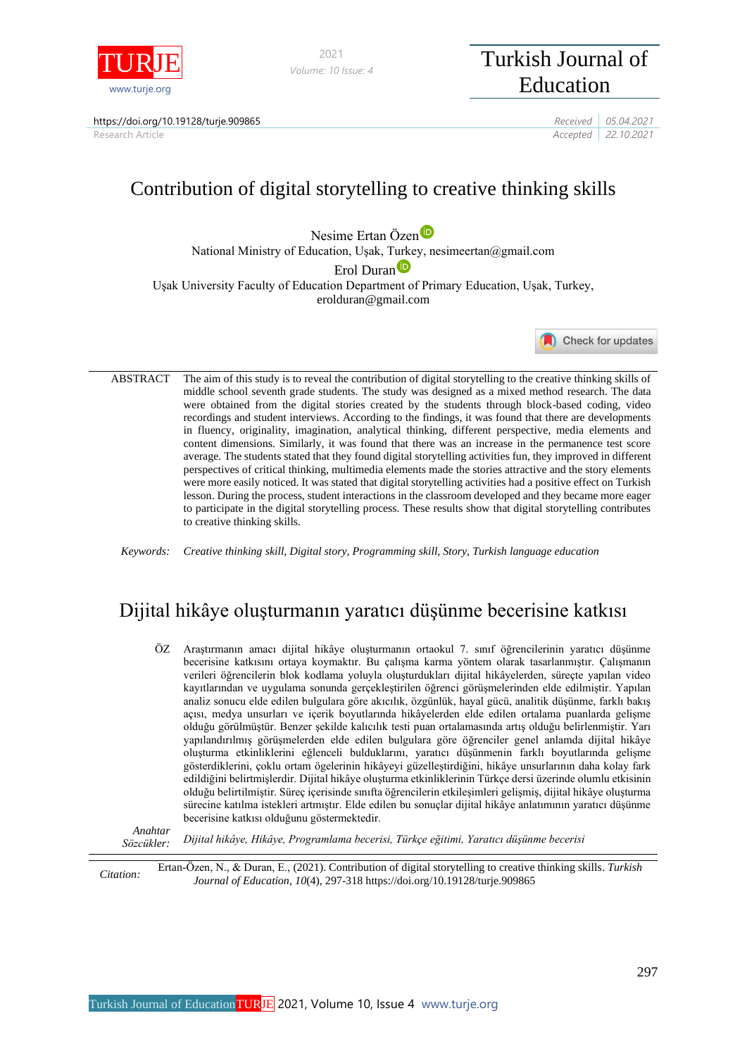

*Volume: 10 Issue: 4*

# <sup>2021</sup> Turkish Journal of Education

https://doi.org/10.19128/turje.909865 *Received 05.04.2021*

Research Article *Accepted 22.10.2021*

# Contribution of digital storytelling to creative thinking skills

Nesime Erta[n](https://orcid.org/0000-0002-9811-4916) Özen<sup>to</sup>

National Ministry of Education, Uşak, Turkey, nesimeertan@gmail.com

Erol Duran<sup>D</sup>

Uşak University Faculty of Education Department of Primary Education, Uşak, Turkey, erolduran@gmail.com

Check for updates

ABSTRACT The aim of this study is to reveal the contribution of digital storytelling to the creative thinking skills of middle school seventh grade students. The study was designed as a mixed method research. The data were obtained from the digital stories created by the students through block-based coding, video recordings and student interviews. According to the findings, it was found that there are developments in fluency, originality, imagination, analytical thinking, different perspective, media elements and content dimensions. Similarly, it was found that there was an increase in the permanence test score average. The students stated that they found digital storytelling activities fun, they improved in different perspectives of critical thinking, multimedia elements made the stories attractive and the story elements were more easily noticed. It was stated that digital storytelling activities had a positive effect on Turkish lesson. During the process, student interactions in the classroom developed and they became more eager to participate in the digital storytelling process. These results show that digital storytelling contributes to creative thinking skills.

*Keywords: Creative thinking skill, Digital story, Programming skill, Story, Turkish language education*

## Dijital hikâye oluşturmanın yaratıcı düşünme becerisine katkısı

ÖZ Araştırmanın amacı dijital hikâye oluşturmanın ortaokul 7. sınıf öğrencilerinin yaratıcı düşünme becerisine katkısını ortaya koymaktır. Bu çalışma karma yöntem olarak tasarlanmıştır. Çalışmanın verileri öğrencilerin blok kodlama yoluyla oluşturdukları dijital hikâyelerden, süreçte yapılan video kayıtlarından ve uygulama sonunda gerçekleştirilen öğrenci görüşmelerinden elde edilmiştir. Yapılan analiz sonucu elde edilen bulgulara göre akıcılık, özgünlük, hayal gücü, analitik düşünme, farklı bakış açısı, medya unsurları ve içerik boyutlarında hikâyelerden elde edilen ortalama puanlarda gelişme olduğu görülmüştür. Benzer şekilde kalıcılık testi puan ortalamasında artış olduğu belirlenmiştir. Yarı yapılandırılmış görüşmelerden elde edilen bulgulara göre öğrenciler genel anlamda dijital hikâye oluşturma etkinliklerini eğlenceli bulduklarını, yaratıcı düşünmenin farklı boyutlarında gelişme gösterdiklerini, çoklu ortam ögelerinin hikâyeyi güzelleştirdiğini, hikâye unsurlarının daha kolay fark edildiğini belirtmişlerdir. Dijital hikâye oluşturma etkinliklerinin Türkçe dersi üzerinde olumlu etkisinin olduğu belirtilmiştir. Süreç içerisinde sınıfta öğrencilerin etkileşimleri gelişmiş, dijital hikâye oluşturma sürecine katılma istekleri artmıştır. Elde edilen bu sonuçlar dijital hikâye anlatımının yaratıcı düşünme becerisine katkısı olduğunu göstermektedir.

*Anahtar Sözcükler: Dijital hikâye, Hikâye, Programlama becerisi, Türkçe eğitimi, Yaratıcı düşünme becerisi*

*Citation:* Ertan-Özen, N., & Duran, E., (2021). Contribution of digital storytelling to creative thinking skills. *Turkish Journal of Education, 10*(4), 297-318 https://doi.org/10.19128/turje.909865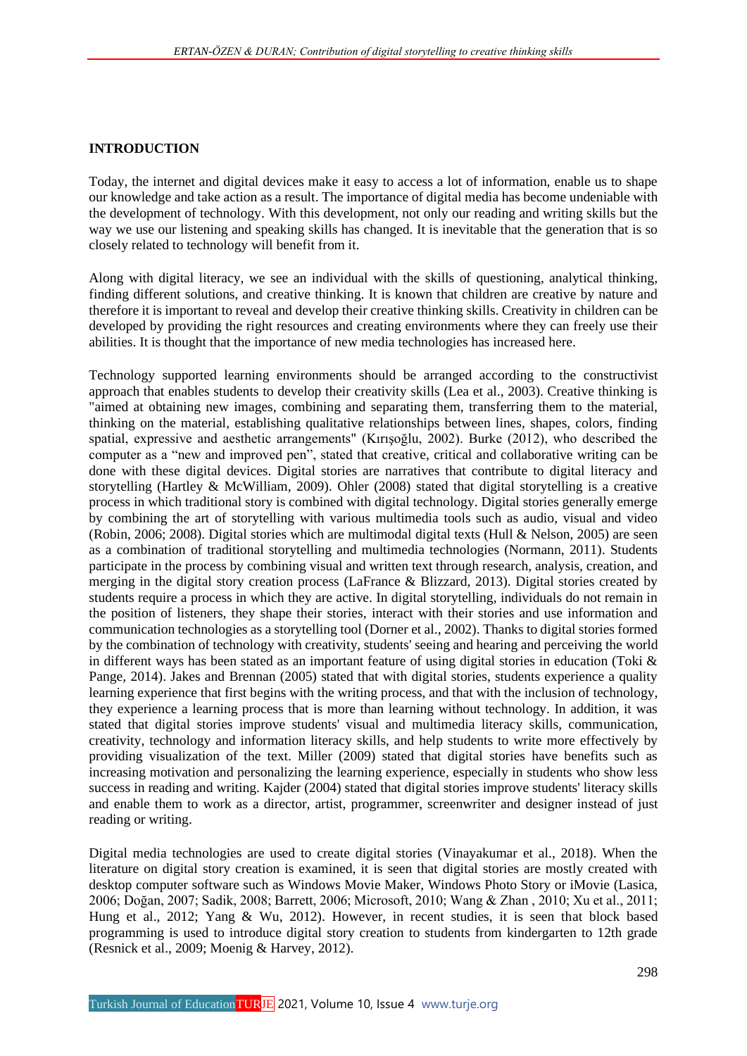## **INTRODUCTION**

Today, the internet and digital devices make it easy to access a lot of information, enable us to shape our knowledge and take action as a result. The importance of digital media has become undeniable with the development of technology. With this development, not only our reading and writing skills but the way we use our listening and speaking skills has changed. It is inevitable that the generation that is so closely related to technology will benefit from it.

Along with digital literacy, we see an individual with the skills of questioning, analytical thinking, finding different solutions, and creative thinking. It is known that children are creative by nature and therefore it is important to reveal and develop their creative thinking skills. Creativity in children can be developed by providing the right resources and creating environments where they can freely use their abilities. It is thought that the importance of new media technologies has increased here.

Technology supported learning environments should be arranged according to the constructivist approach that enables students to develop their creativity skills (Lea et al., 2003). Creative thinking is "aimed at obtaining new images, combining and separating them, transferring them to the material, thinking on the material, establishing qualitative relationships between lines, shapes, colors, finding spatial, expressive and aesthetic arrangements" (Kırışoğlu, 2002). Burke (2012), who described the computer as a "new and improved pen", stated that creative, critical and collaborative writing can be done with these digital devices. Digital stories are narratives that contribute to digital literacy and storytelling (Hartley & McWilliam, 2009). Ohler (2008) stated that digital storytelling is a creative process in which traditional story is combined with digital technology. Digital stories generally emerge by combining the art of storytelling with various multimedia tools such as audio, visual and video (Robin, 2006; 2008). Digital stories which are multimodal digital texts (Hull & Nelson, 2005) are seen as a combination of traditional storytelling and multimedia technologies (Normann, 2011). Students participate in the process by combining visual and written text through research, analysis, creation, and merging in the digital story creation process (LaFrance & Blizzard, 2013). Digital stories created by students require a process in which they are active. In digital storytelling, individuals do not remain in the position of listeners, they shape their stories, interact with their stories and use information and communication technologies as a storytelling tool (Dorner et al., 2002). Thanks to digital stories formed by the combination of technology with creativity, students' seeing and hearing and perceiving the world in different ways has been stated as an important feature of using digital stories in education (Toki & Pange, 2014). Jakes and Brennan (2005) stated that with digital stories, students experience a quality learning experience that first begins with the writing process, and that with the inclusion of technology, they experience a learning process that is more than learning without technology. In addition, it was stated that digital stories improve students' visual and multimedia literacy skills, communication, creativity, technology and information literacy skills, and help students to write more effectively by providing visualization of the text. Miller (2009) stated that digital stories have benefits such as increasing motivation and personalizing the learning experience, especially in students who show less success in reading and writing. Kajder (2004) stated that digital stories improve students' literacy skills and enable them to work as a director, artist, programmer, screenwriter and designer instead of just reading or writing.

Digital media technologies are used to create digital stories (Vinayakumar et al., 2018). When the literature on digital story creation is examined, it is seen that digital stories are mostly created with desktop computer software such as Windows Movie Maker, Windows Photo Story or iMovie (Lasica, 2006; Doğan, 2007; Sadik, 2008; Barrett, 2006; Microsoft, 2010; Wang & Zhan , 2010; Xu et al., 2011; Hung et al., 2012; Yang & Wu, 2012). However, in recent studies, it is seen that block based programming is used to introduce digital story creation to students from kindergarten to 12th grade (Resnick et al., 2009; Moenig & Harvey, 2012).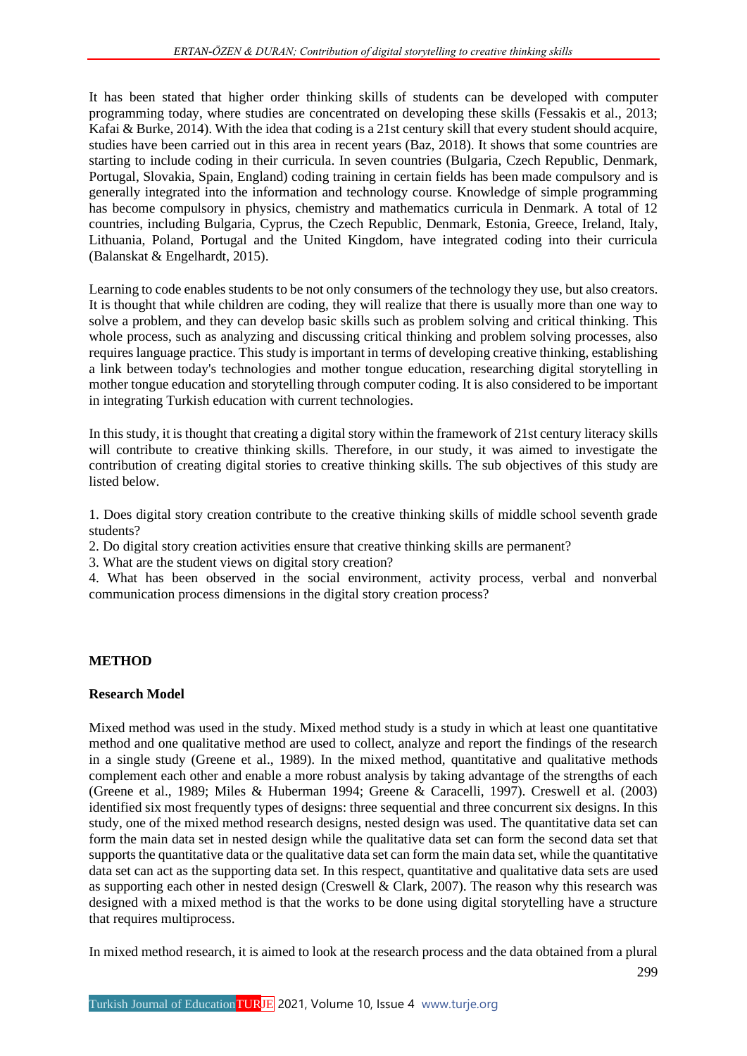It has been stated that higher order thinking skills of students can be developed with computer programming today, where studies are concentrated on developing these skills (Fessakis et al., 2013; Kafai & Burke, 2014). With the idea that coding is a 21st century skill that every student should acquire, studies have been carried out in this area in recent years (Baz, 2018). It shows that some countries are starting to include coding in their curricula. In seven countries (Bulgaria, Czech Republic, Denmark, Portugal, Slovakia, Spain, England) coding training in certain fields has been made compulsory and is generally integrated into the information and technology course. Knowledge of simple programming has become compulsory in physics, chemistry and mathematics curricula in Denmark. A total of 12 countries, including Bulgaria, Cyprus, the Czech Republic, Denmark, Estonia, Greece, Ireland, Italy, Lithuania, Poland, Portugal and the United Kingdom, have integrated coding into their curricula (Balanskat & Engelhardt, 2015).

Learning to code enables students to be not only consumers of the technology they use, but also creators. It is thought that while children are coding, they will realize that there is usually more than one way to solve a problem, and they can develop basic skills such as problem solving and critical thinking. This whole process, such as analyzing and discussing critical thinking and problem solving processes, also requires language practice. This study is important in terms of developing creative thinking, establishing a link between today's technologies and mother tongue education, researching digital storytelling in mother tongue education and storytelling through computer coding. It is also considered to be important in integrating Turkish education with current technologies.

In this study, it is thought that creating a digital story within the framework of 21st century literacy skills will contribute to creative thinking skills. Therefore, in our study, it was aimed to investigate the contribution of creating digital stories to creative thinking skills. The sub objectives of this study are listed below.

1. Does digital story creation contribute to the creative thinking skills of middle school seventh grade students?

2. Do digital story creation activities ensure that creative thinking skills are permanent?

3. What are the student views on digital story creation?

4. What has been observed in the social environment, activity process, verbal and nonverbal communication process dimensions in the digital story creation process?

## **METHOD**

#### **Research Model**

Mixed method was used in the study. Mixed method study is a study in which at least one quantitative method and one qualitative method are used to collect, analyze and report the findings of the research in a single study (Greene et al., 1989). In the mixed method, quantitative and qualitative methods complement each other and enable a more robust analysis by taking advantage of the strengths of each (Greene et al., 1989; Miles & Huberman 1994; Greene & Caracelli, 1997). Creswell et al. (2003) identified six most frequently types of designs: three sequential and three concurrent six designs. In this study, one of the mixed method research designs, nested design was used. The quantitative data set can form the main data set in nested design while the qualitative data set can form the second data set that supports the quantitative data or the qualitative data set can form the main data set, while the quantitative data set can act as the supporting data set. In this respect, quantitative and qualitative data sets are used as supporting each other in nested design (Creswell & Clark, 2007). The reason why this research was designed with a mixed method is that the works to be done using digital storytelling have a structure that requires multiprocess.

In mixed method research, it is aimed to look at the research process and the data obtained from a plural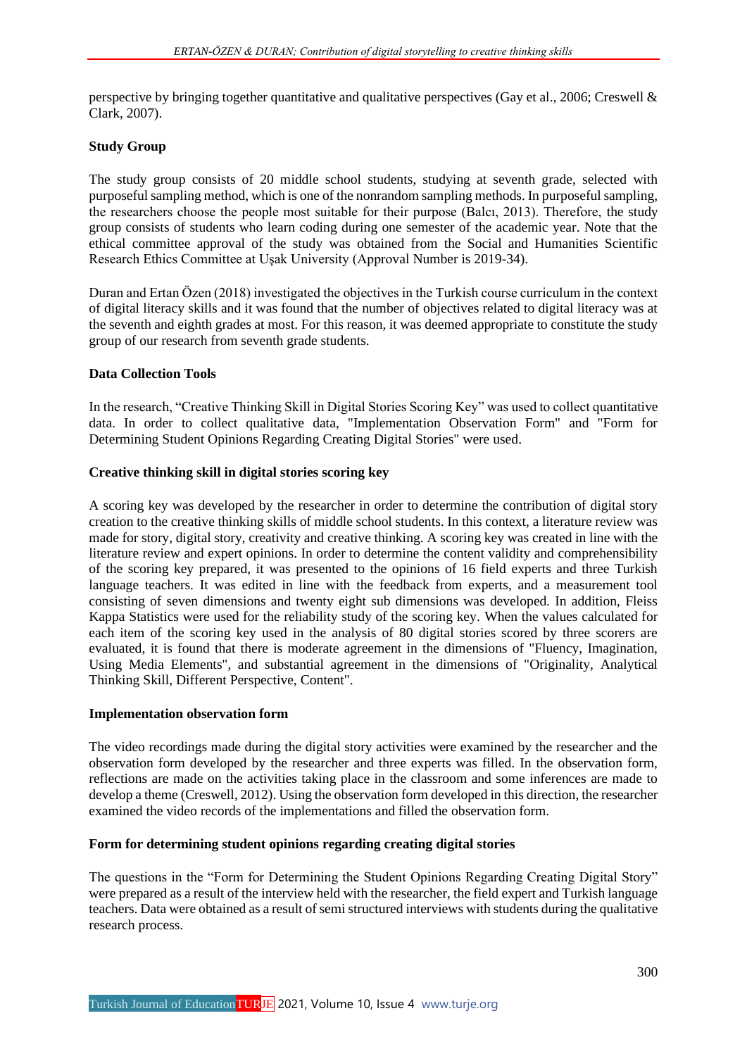perspective by bringing together quantitative and qualitative perspectives (Gay et al., 2006; Creswell & Clark, 2007).

## **Study Group**

The study group consists of 20 middle school students, studying at seventh grade, selected with purposeful sampling method, which is one of the nonrandom sampling methods. In purposeful sampling, the researchers choose the people most suitable for their purpose (Balcı, 2013). Therefore, the study group consists of students who learn coding during one semester of the academic year. Note that the ethical committee approval of the study was obtained from the Social and Humanities Scientific Research Ethics Committee at Uşak University (Approval Number is 2019-34).

Duran and Ertan Özen (2018) investigated the objectives in the Turkish course curriculum in the context of digital literacy skills and it was found that the number of objectives related to digital literacy was at the seventh and eighth grades at most. For this reason, it was deemed appropriate to constitute the study group of our research from seventh grade students.

### **Data Collection Tools**

In the research, "Creative Thinking Skill in Digital Stories Scoring Key" was used to collect quantitative data. In order to collect qualitative data, "Implementation Observation Form" and "Form for Determining Student Opinions Regarding Creating Digital Stories" were used.

## **Creative thinking skill in digital stories scoring key**

A scoring key was developed by the researcher in order to determine the contribution of digital story creation to the creative thinking skills of middle school students. In this context, a literature review was made for story, digital story, creativity and creative thinking. A scoring key was created in line with the literature review and expert opinions. In order to determine the content validity and comprehensibility of the scoring key prepared, it was presented to the opinions of 16 field experts and three Turkish language teachers. It was edited in line with the feedback from experts, and a measurement tool consisting of seven dimensions and twenty eight sub dimensions was developed. In addition, Fleiss Kappa Statistics were used for the reliability study of the scoring key. When the values calculated for each item of the scoring key used in the analysis of 80 digital stories scored by three scorers are evaluated, it is found that there is moderate agreement in the dimensions of "Fluency, Imagination, Using Media Elements", and substantial agreement in the dimensions of "Originality, Analytical Thinking Skill, Different Perspective, Content".

#### **Implementation observation form**

The video recordings made during the digital story activities were examined by the researcher and the observation form developed by the researcher and three experts was filled. In the observation form, reflections are made on the activities taking place in the classroom and some inferences are made to develop a theme (Creswell, 2012). Using the observation form developed in this direction, the researcher examined the video records of the implementations and filled the observation form.

### **Form for determining student opinions regarding creating digital stories**

The questions in the "Form for Determining the Student Opinions Regarding Creating Digital Story" were prepared as a result of the interview held with the researcher, the field expert and Turkish language teachers. Data were obtained as a result of semi structured interviews with students during the qualitative research process.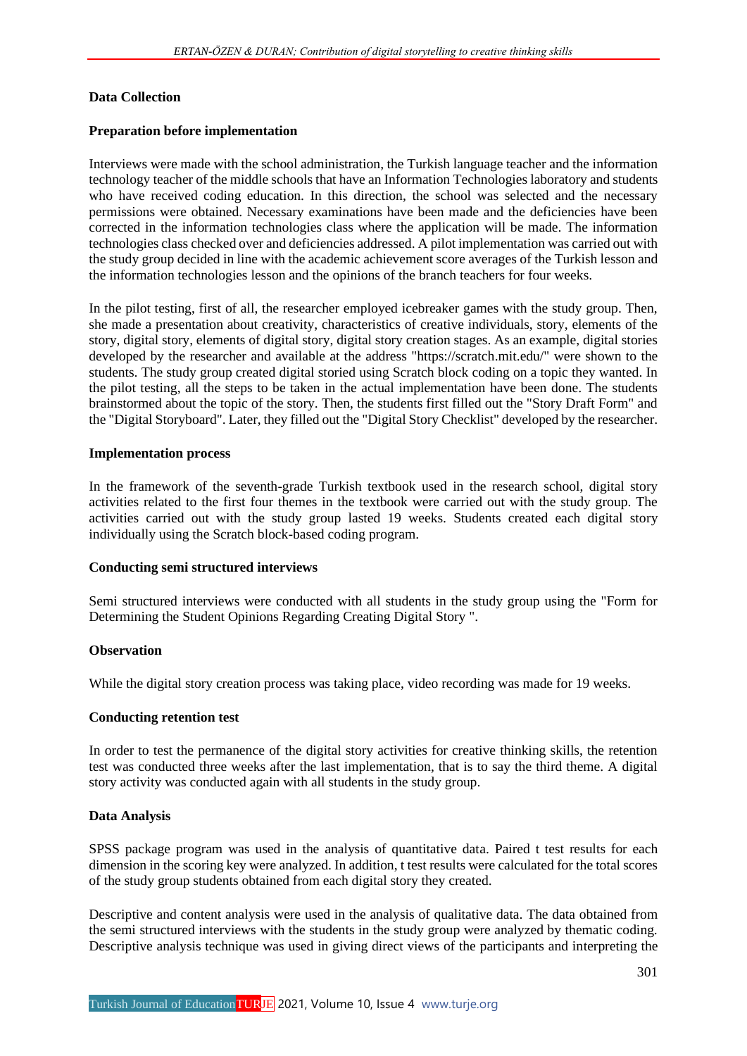## **Data Collection**

## **Preparation before implementation**

Interviews were made with the school administration, the Turkish language teacher and the information technology teacher of the middle schools that have an Information Technologies laboratory and students who have received coding education. In this direction, the school was selected and the necessary permissions were obtained. Necessary examinations have been made and the deficiencies have been corrected in the information technologies class where the application will be made. The information technologies class checked over and deficiencies addressed. A pilot implementation was carried out with the study group decided in line with the academic achievement score averages of the Turkish lesson and the information technologies lesson and the opinions of the branch teachers for four weeks.

In the pilot testing, first of all, the researcher employed icebreaker games with the study group. Then, she made a presentation about creativity, characteristics of creative individuals, story, elements of the story, digital story, elements of digital story, digital story creation stages. As an example, digital stories developed by the researcher and available at the address "https://scratch.mit.edu/" were shown to the students. The study group created digital storied using Scratch block coding on a topic they wanted. In the pilot testing, all the steps to be taken in the actual implementation have been done. The students brainstormed about the topic of the story. Then, the students first filled out the "Story Draft Form" and the "Digital Storyboard". Later, they filled out the "Digital Story Checklist" developed by the researcher.

### **Implementation process**

In the framework of the seventh-grade Turkish textbook used in the research school, digital story activities related to the first four themes in the textbook were carried out with the study group. The activities carried out with the study group lasted 19 weeks. Students created each digital story individually using the Scratch block-based coding program.

## **Conducting semi structured interviews**

Semi structured interviews were conducted with all students in the study group using the "Form for Determining the Student Opinions Regarding Creating Digital Story ".

## **Observation**

While the digital story creation process was taking place, video recording was made for 19 weeks.

#### **Conducting retention test**

In order to test the permanence of the digital story activities for creative thinking skills, the retention test was conducted three weeks after the last implementation, that is to say the third theme. A digital story activity was conducted again with all students in the study group.

## **Data Analysis**

SPSS package program was used in the analysis of quantitative data. Paired t test results for each dimension in the scoring key were analyzed. In addition, t test results were calculated for the total scores of the study group students obtained from each digital story they created.

Descriptive and content analysis were used in the analysis of qualitative data. The data obtained from the semi structured interviews with the students in the study group were analyzed by thematic coding. Descriptive analysis technique was used in giving direct views of the participants and interpreting the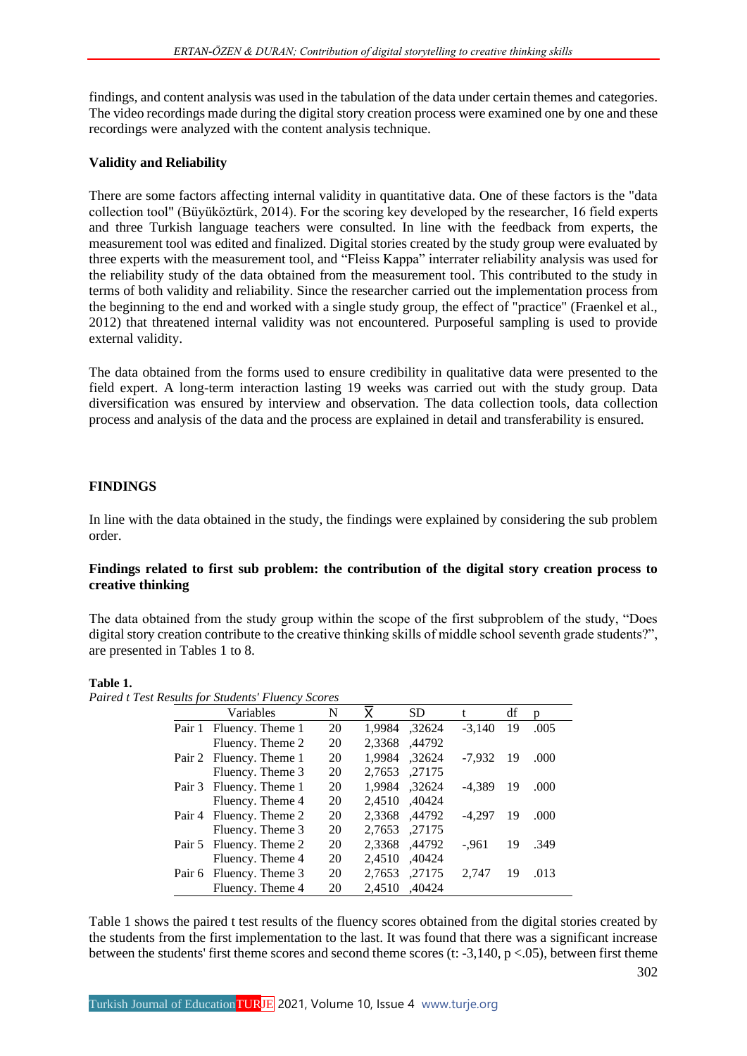findings, and content analysis was used in the tabulation of the data under certain themes and categories. The video recordings made during the digital story creation process were examined one by one and these recordings were analyzed with the content analysis technique.

## **Validity and Reliability**

There are some factors affecting internal validity in quantitative data. One of these factors is the "data collection tool" (Büyüköztürk, 2014). For the scoring key developed by the researcher, 16 field experts and three Turkish language teachers were consulted. In line with the feedback from experts, the measurement tool was edited and finalized. Digital stories created by the study group were evaluated by three experts with the measurement tool, and "Fleiss Kappa" interrater reliability analysis was used for the reliability study of the data obtained from the measurement tool. This contributed to the study in terms of both validity and reliability. Since the researcher carried out the implementation process from the beginning to the end and worked with a single study group, the effect of "practice" (Fraenkel et al., 2012) that threatened internal validity was not encountered. Purposeful sampling is used to provide external validity.

The data obtained from the forms used to ensure credibility in qualitative data were presented to the field expert. A long-term interaction lasting 19 weeks was carried out with the study group. Data diversification was ensured by interview and observation. The data collection tools, data collection process and analysis of the data and the process are explained in detail and transferability is ensured.

## **FINDINGS**

In line with the data obtained in the study, the findings were explained by considering the sub problem order.

## **Findings related to first sub problem: the contribution of the digital story creation process to creative thinking**

The data obtained from the study group within the scope of the first subproblem of the study, "Does digital story creation contribute to the creative thinking skills of middle school seventh grade students?", are presented in Tables 1 to 8.

## **Table 1.**

*Paired t Test Results for Students' Fluency Scores*

| <b>Variables</b>        | N  | Y      | <b>SD</b> |          | df  | n    |
|-------------------------|----|--------|-----------|----------|-----|------|
| Pair 1 Fluency. Theme 1 | 20 | 1,9984 | ,32624    | $-3.140$ | 19  | .005 |
| Fluency. Theme 2        | 20 | 2,3368 | ,44792    |          |     |      |
| Pair 2 Fluency. Theme 1 | 20 | 1.9984 | ,32624    | -7.932   | -19 | .000 |
| Fluency. Theme 3        | 20 | 2,7653 | ,27175    |          |     |      |
| Pair 3 Fluency. Theme 1 | 20 | 1.9984 | ,32624    | $-4.389$ | 19  | .000 |
| Fluency. Theme 4        | 20 | 2.4510 | ,40424    |          |     |      |
| Pair 4 Fluency. Theme 2 | 20 | 2,3368 | .44792    | -4.297   | 19  | .000 |
| Fluency. Theme 3        | 20 | 2.7653 | ,27175    |          |     |      |
| Pair 5 Fluency. Theme 2 | 20 | 2.3368 | ,44792    | $-.961$  | 19  | .349 |
| Fluency. Theme 4        | 20 | 2,4510 | ,40424    |          |     |      |
| Pair 6 Fluency. Theme 3 | 20 | 2.7653 | ,27175    | 2.747    | 19  | .013 |
| Fluency. Theme 4        | 20 | 2.4510 | .40424    |          |     |      |

Table 1 shows the paired t test results of the fluency scores obtained from the digital stories created by the students from the first implementation to the last. It was found that there was a significant increase between the students' first theme scores and second theme scores (t:  $-3,140, p < .05$ ), between first theme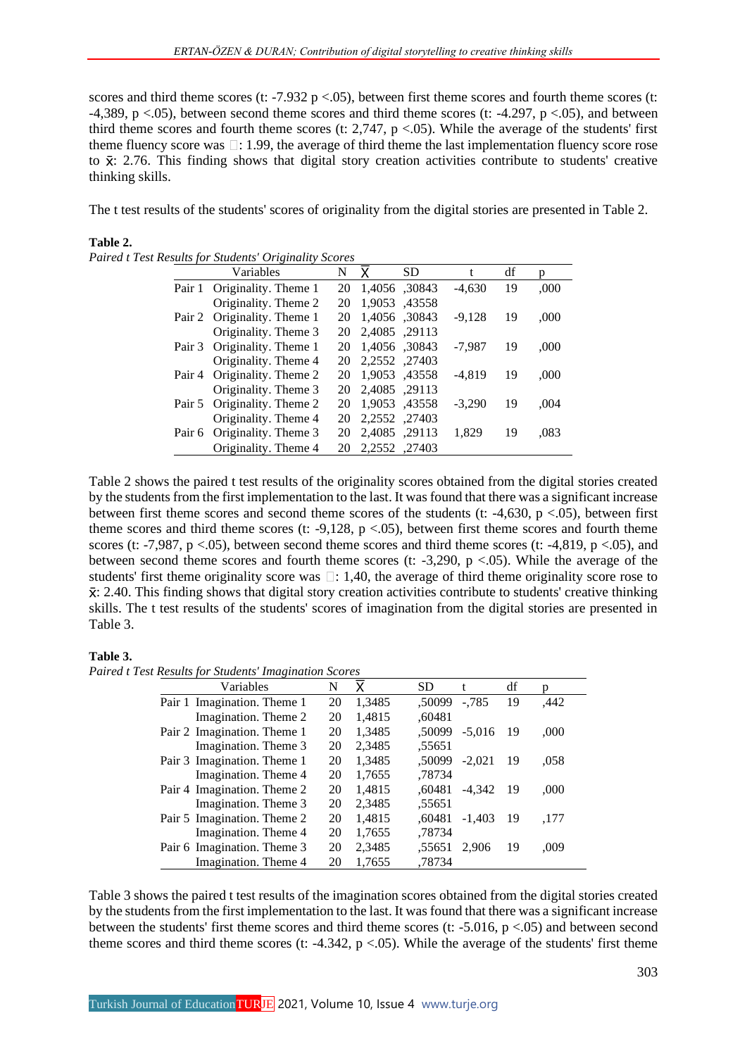scores and third theme scores (t: -7.932 p <.05), between first theme scores and fourth theme scores (t: -4,389, p  $\lt$ .05), between second theme scores and third theme scores (t: -4.297, p  $\lt$ .05), and between third theme scores and fourth theme scores (t: 2,747,  $p < .05$ ). While the average of the students' first theme fluency score was  $\Box$ : 1.99, the average of third theme the last implementation fluency score rose to  $\bar{x}$ : 2.76. This finding shows that digital story creation activities contribute to students' creative thinking skills.

The t test results of the students' scores of originality from the digital stories are presented in Table 2.

### **Table 2.**

| Variables                   | N  | x             | SD            | t        | df | p    |
|-----------------------------|----|---------------|---------------|----------|----|------|
| Pair 1 Originality. Theme 1 | 20 | 1,4056, 30843 |               | $-4,630$ | 19 | ,000 |
| Originality. Theme 2        | 20 | 1,9053, 43558 |               |          |    |      |
| Pair 2 Originality. Theme 1 | 20 | 1,4056, 30843 |               | $-9.128$ | 19 | ,000 |
| Originality. Theme 3        | 20 | 2,4085, 29113 |               |          |    |      |
| Pair 3 Originality. Theme 1 | 20 | 1.4056.30843  |               | $-7.987$ | 19 | ,000 |
| Originality. Theme 4        | 20 | 2,2552, 27403 |               |          |    |      |
| Pair 4 Originality. Theme 2 | 20 | 1,9053, 43558 |               | $-4.819$ | 19 | ,000 |
| Originality. Theme 3        | 20 | 2,4085, 29113 |               |          |    |      |
| Pair 5 Originality. Theme 2 | 20 |               | 1,9053, 43558 | $-3.290$ | 19 | ,004 |
| Originality. Theme 4        | 20 | 2,2552, 27403 |               |          |    |      |
| Pair 6 Originality. Theme 3 | 20 | 2,4085, 29113 |               | 1.829    | 19 | .083 |
| Originality. Theme 4        | 20 | 2.2552.27403  |               |          |    |      |

*Paired t Test Results for Students' Originality Scores*

Table 2 shows the paired t test results of the originality scores obtained from the digital stories created by the students from the first implementation to the last. It was found that there was a significant increase between first theme scores and second theme scores of the students (t:  $-4,630$ , p $< .05$ ), between first theme scores and third theme scores (t:  $-9,128$ ,  $p < .05$ ), between first theme scores and fourth theme scores (t: -7,987, p <.05), between second theme scores and third theme scores (t: -4,819, p <.05), and between second theme scores and fourth theme scores (t:  $-3,290$ , p  $\lt .05$ ). While the average of the students' first theme originality score was  $\Box$ : 1,40, the average of third theme originality score rose to : 2.40. This finding shows that digital story creation activities contribute to students' creative thinking skills. The t test results of the students' scores of imagination from the digital stories are presented in Table 3.

#### **Table 3.**

*Paired t Test Results for Students' Imagination Scores*

| Variables                   | N  | x      | <b>SD</b> | t        | df  | p    |
|-----------------------------|----|--------|-----------|----------|-----|------|
| Pair 1 Imagination. Theme 1 | 20 | 1,3485 | .50099    | $-.785$  | 19  | ,442 |
| Imagination. Theme 2        | 20 | 1,4815 | .60481    |          |     |      |
| Pair 2 Imagination. Theme 1 | 20 | 1,3485 | .50099    | $-5.016$ | -19 | ,000 |
| Imagination. Theme 3        | 20 | 2,3485 | .55651    |          |     |      |
| Pair 3 Imagination. Theme 1 | 20 | 1,3485 | .50099    | $-2.021$ | 19  | .058 |
| Imagination. Theme 4        | 20 | 1,7655 | .78734    |          |     |      |
| Pair 4 Imagination. Theme 2 | 20 | 1,4815 | .60481    | $-4.342$ | -19 | ,000 |
| Imagination. Theme 3        | 20 | 2,3485 | .55651    |          |     |      |
| Pair 5 Imagination. Theme 2 | 20 | 1,4815 | .60481    | $-1.403$ | -19 | .177 |
| Imagination. Theme 4        | 20 | 1,7655 | .78734    |          |     |      |
| Pair 6 Imagination. Theme 3 | 20 | 2,3485 | .55651    | 2.906    | 19  | .009 |
| Imagination. Theme 4        | 20 | 1.7655 | .78734    |          |     |      |

Table 3 shows the paired t test results of the imagination scores obtained from the digital stories created by the students from the first implementation to the last. It was found that there was a significant increase between the students' first theme scores and third theme scores (t: -5.016, p <.05) and between second theme scores and third theme scores (t: -4.342,  $p < .05$ ). While the average of the students' first theme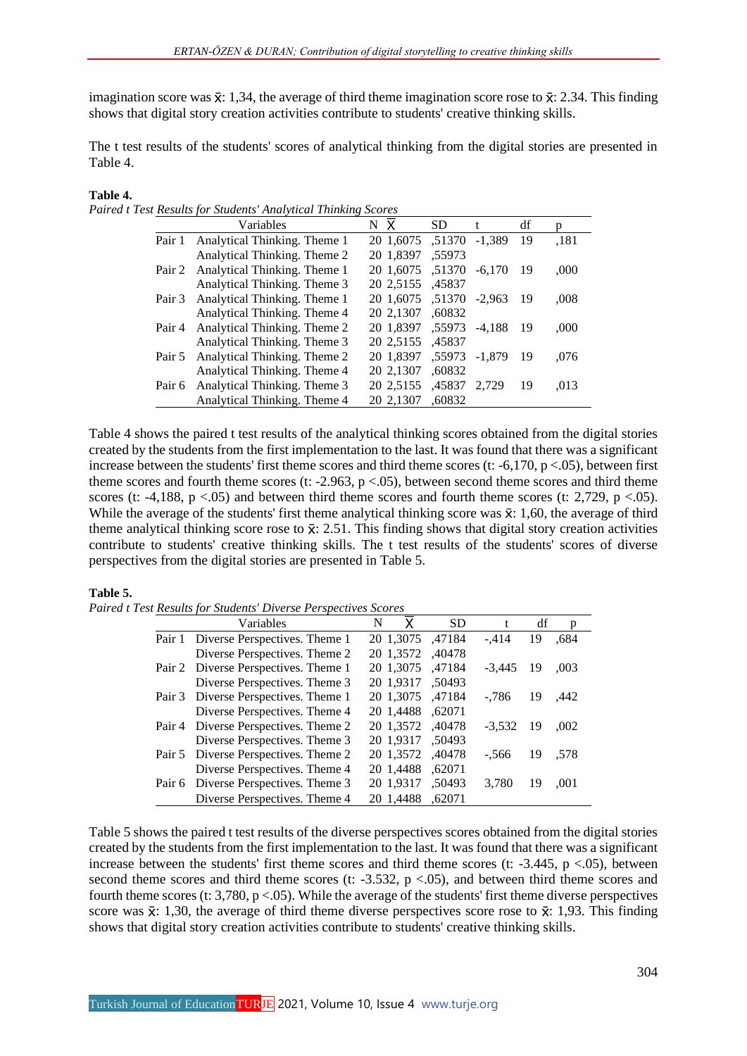imagination score was  $\bar{x}$ : 1,34, the average of third theme imagination score rose to  $\bar{x}$ : 2.34. This finding shows that digital story creation activities contribute to students' creative thinking skills.

The t test results of the students' scores of analytical thinking from the digital stories are presented in Table 4.

## **Table 4.**

*Paired t Test Results for Students' Analytical Thinking Scores*

|        | Variables                           | $N\bar{X}$              | SD     | t        | df  | p    |
|--------|-------------------------------------|-------------------------|--------|----------|-----|------|
|        | Pair 1 Analytical Thinking. Theme 1 | 20 1,6075 ,51370 -1,389 |        |          | 19  | ,181 |
|        | Analytical Thinking. Theme 2        | 20 1,8397               | .55973 |          |     |      |
|        | Pair 2 Analytical Thinking. Theme 1 | 20 1,6075 .51370        |        | $-6.170$ | -19 | .000 |
|        | Analytical Thinking. Theme 3        | 20 2,5155 ,45837        |        |          |     |      |
|        | Pair 3 Analytical Thinking. Theme 1 | 20 1,6075 ,51370 -2,963 |        |          | -19 | .008 |
|        | Analytical Thinking. Theme 4        | 20 2.1307               | .60832 |          |     |      |
|        | Pair 4 Analytical Thinking. Theme 2 | 20 1,8397, 55973        |        | $-4.188$ | -19 | .000 |
|        | Analytical Thinking. Theme 3        | 20 2,5155 ,45837        |        |          |     |      |
|        | Pair 5 Analytical Thinking. Theme 2 | 20 1,8397 ,55973 -1,879 |        |          | -19 | .076 |
|        | Analytical Thinking. Theme 4        | 20 2,1307               | .60832 |          |     |      |
| Pair 6 | Analytical Thinking. Theme 3        | 20 2,5155 ,45837 2,729  |        |          | 19  | .013 |
|        | Analytical Thinking. Theme 4        | 20 2.1307               | .60832 |          |     |      |

Table 4 shows the paired t test results of the analytical thinking scores obtained from the digital stories created by the students from the first implementation to the last. It was found that there was a significant increase between the students' first theme scores and third theme scores (t:  $-6,170, p < .05$ ), between first theme scores and fourth theme scores (t:  $-2.963$ ,  $p < .05$ ), between second theme scores and third theme scores (t: -4,188,  $p < .05$ ) and between third theme scores and fourth theme scores (t: 2,729,  $p < .05$ ). While the average of the students' first theme analytical thinking score was  $\bar{x}$ : 1,60, the average of third theme analytical thinking score rose to  $\bar{x}$ : 2.51. This finding shows that digital story creation activities contribute to students' creative thinking skills. The t test results of the students' scores of diverse perspectives from the digital stories are presented in Table 5.

## **Table 5.**

*Paired t Test Results for Students' Diverse Perspectives Scores*

| Variables                            | N | X.        | <b>SD</b>        | t        | df  | p    |
|--------------------------------------|---|-----------|------------------|----------|-----|------|
| Pair 1 Diverse Perspectives. Theme 1 |   |           | 47184, 20 1,3075 | $-.414$  | 19  | ,684 |
| Diverse Perspectives. Theme 2        |   |           | 20 1,3572 ,40478 |          |     |      |
| Pair 2 Diverse Perspectives. Theme 1 |   | 20 1,3075 | .47184           | $-3,445$ | -19 | ,003 |
| Diverse Perspectives. Theme 3        |   | 20 1,9317 | .50493           |          |     |      |
| Pair 3 Diverse Perspectives. Theme 1 |   | 20 1,3075 | .47184           | $-0.786$ | 19  | .442 |
| Diverse Perspectives. Theme 4        |   | 20 1,4488 | .62071           |          |     |      |
| Pair 4 Diverse Perspectives. Theme 2 |   |           | 20 1,3572 ,40478 | $-3.532$ | -19 | .002 |
| Diverse Perspectives. Theme 3        |   | 20 1,9317 | .50493           |          |     |      |
| Pair 5 Diverse Perspectives. Theme 2 |   | 20 1,3572 | ,40478           | $-.566$  | 19  | .578 |
| Diverse Perspectives. Theme 4        |   | 20 1,4488 | .62071           |          |     |      |
| Pair 6 Diverse Perspectives. Theme 3 |   | 20 1,9317 | .50493           | 3,780    | 19  | ,001 |
| Diverse Perspectives. Theme 4        |   | 20 1.4488 | .62071           |          |     |      |

Table 5 shows the paired t test results of the diverse perspectives scores obtained from the digital stories created by the students from the first implementation to the last. It was found that there was a significant increase between the students' first theme scores and third theme scores (t:  $-3.445$ , p <.05), between second theme scores and third theme scores (t:  $-3.532$ ,  $p < .05$ ), and between third theme scores and fourth theme scores (t: 3,780, p <.05). While the average of the students' first theme diverse perspectives score was  $\bar{x}$ : 1,30, the average of third theme diverse perspectives score rose to  $\bar{x}$ : 1,93. This finding shows that digital story creation activities contribute to students' creative thinking skills.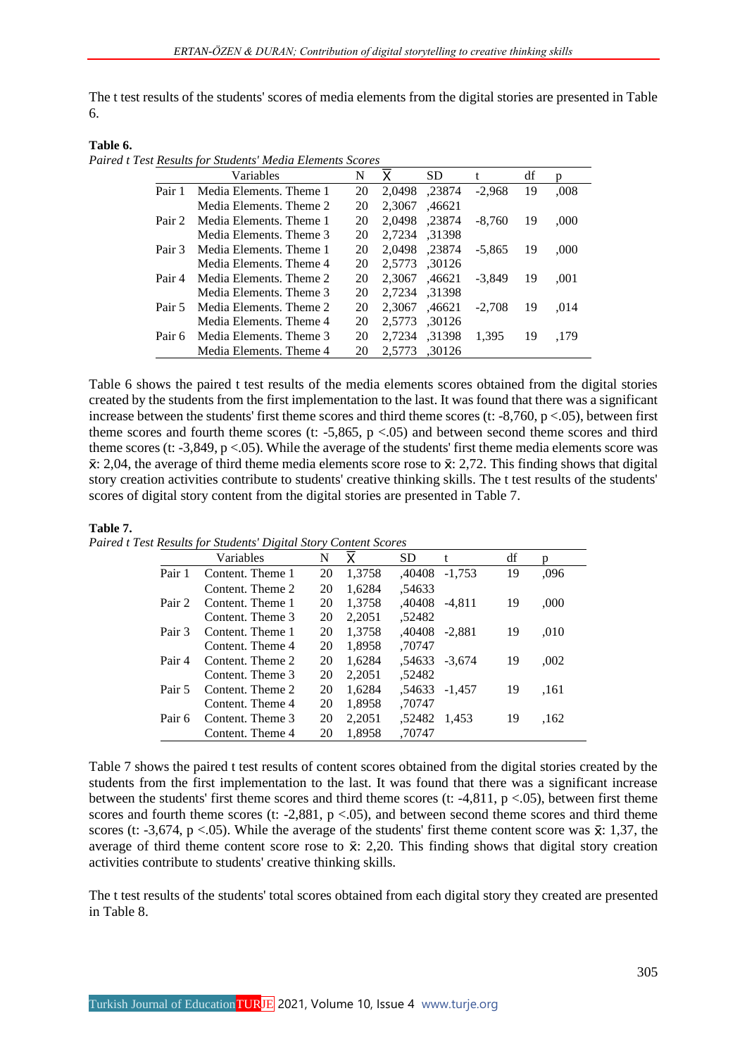The t test results of the students' scores of media elements from the digital stories are presented in Table 6.

**Table 6.**

*Paired t Test Results for Students' Media Elements Scores*

|        | Variables               | N  | Χ      | <b>SD</b> |          | df | n    |
|--------|-------------------------|----|--------|-----------|----------|----|------|
| Pair 1 | Media Elements. Theme 1 | 20 | 2.0498 | ,23874    | $-2,968$ | 19 | .008 |
|        | Media Elements, Theme 2 | 20 | 2.3067 | ,46621    |          |    |      |
| Pair 2 | Media Elements. Theme 1 | 20 | 2.0498 | .23874    | $-8.760$ | 19 | ,000 |
|        | Media Elements. Theme 3 | 20 | 2,7234 | .31398    |          |    |      |
| Pair 3 | Media Elements. Theme 1 | 20 | 2.0498 | .23874    | $-5.865$ | 19 | ,000 |
|        | Media Elements, Theme 4 | 20 | 2.5773 | .30126    |          |    |      |
| Pair 4 | Media Elements. Theme 2 | 20 | 2.3067 | .46621    | $-3.849$ | 19 | .001 |
|        | Media Elements, Theme 3 | 20 | 2.7234 | 31398.    |          |    |      |
| Pair 5 | Media Elements. Theme 2 | 20 | 2.3067 | .46621    | $-2.708$ | 19 | .014 |
|        | Media Elements, Theme 4 | 20 | 2.5773 | ,30126    |          |    |      |
| Pair 6 | Media Elements, Theme 3 | 20 | 2,7234 | .31398    | 1.395    | 19 | .179 |
|        | Media Elements. Theme 4 | 20 | 2.5773 | .30126    |          |    |      |

Table 6 shows the paired t test results of the media elements scores obtained from the digital stories created by the students from the first implementation to the last. It was found that there was a significant increase between the students' first theme scores and third theme scores (t:  $-8,760$ , p $\lt .05$ ), between first theme scores and fourth theme scores (t:  $-5,865$ ,  $p < .05$ ) and between second theme scores and third theme scores (t: -3,849, p <.05). While the average of the students' first theme media elements score was  $\bar{x}$ : 2,04, the average of third theme media elements score rose to  $\bar{x}$ : 2,72. This finding shows that digital story creation activities contribute to students' creative thinking skills. The t test results of the students' scores of digital story content from the digital stories are presented in Table 7.

#### **Table 7.**

*Paired t Test Results for Students' Digital Story Content Scores*

|        | Variables        | N  | x      | <b>SD</b>     | t             | df | D.   |
|--------|------------------|----|--------|---------------|---------------|----|------|
| Pair 1 | Content. Theme 1 | 20 | 1.3758 | .40408        | $-1.753$      | 19 | .096 |
|        | Content. Theme 2 | 20 | 1,6284 | .54633        |               |    |      |
| Pair 2 | Content. Theme 1 | 20 | 1,3758 | .40408        | -4.811        | 19 | ,000 |
|        | Content. Theme 3 | 20 | 2,2051 | .52482        |               |    |      |
| Pair 3 | Content. Theme 1 | 20 | 1,3758 | .40408 -2.881 |               | 19 | ,010 |
|        | Content. Theme 4 | 20 | 1,8958 | .70747        |               |    |      |
| Pair 4 | Content. Theme 2 | 20 | 1,6284 |               | .54633 -3,674 | 19 | .002 |
|        | Content. Theme 3 | 20 | 2.2051 | ,52482        |               |    |      |
| Pair 5 | Content. Theme 2 | 20 | 1,6284 | .54633        | $-1.457$      | 19 | .161 |
|        | Content. Theme 4 | 20 | 1.8958 | .70747        |               |    |      |
| Pair 6 | Content. Theme 3 | 20 | 2,2051 | .52482        | 1.453         | 19 | .162 |
|        | Content. Theme 4 | 20 | 1.8958 | .70747        |               |    |      |

Table 7 shows the paired t test results of content scores obtained from the digital stories created by the students from the first implementation to the last. It was found that there was a significant increase between the students' first theme scores and third theme scores (t:  $-4,811$ ,  $p < .05$ ), between first theme scores and fourth theme scores (t:  $-2,881$ ,  $p < .05$ ), and between second theme scores and third theme scores (t: -3,674, p <.05). While the average of the students' first theme content score was  $\bar{x}$ : 1,37, the average of third theme content score rose to  $\bar{x}$ : 2,20. This finding shows that digital story creation activities contribute to students' creative thinking skills.

The t test results of the students' total scores obtained from each digital story they created are presented in Table 8.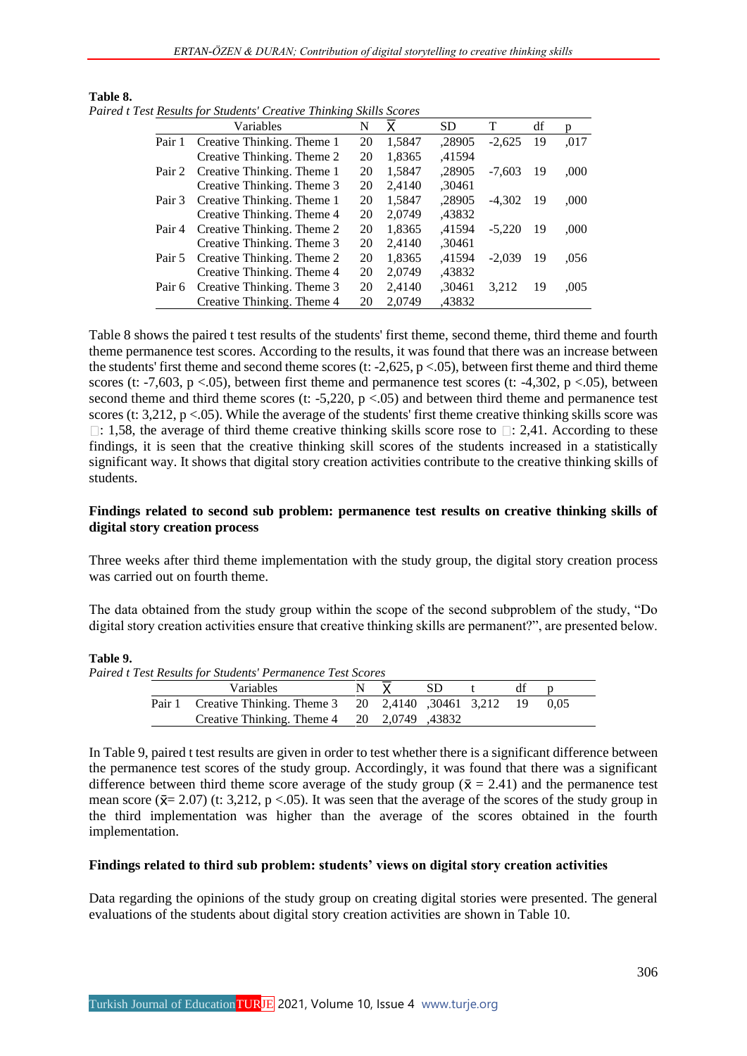|        | Variables                  | N  | x      | <b>SD</b> | т        | df  | n    |
|--------|----------------------------|----|--------|-----------|----------|-----|------|
| Pair 1 | Creative Thinking. Theme 1 | 20 | 1,5847 | ,28905    | $-2.625$ | 19  | ,017 |
|        | Creative Thinking. Theme 2 | 20 | 1,8365 | .41594    |          |     |      |
| Pair 2 | Creative Thinking. Theme 1 | 20 | 1,5847 | ,28905    | $-7.603$ | -19 | ,000 |
|        | Creative Thinking. Theme 3 | 20 | 2,4140 | ,30461    |          |     |      |
| Pair 3 | Creative Thinking. Theme 1 | 20 | 1,5847 | ,28905    | $-4.302$ | -19 | ,000 |
|        | Creative Thinking. Theme 4 | 20 | 2,0749 | ,43832    |          |     |      |
| Pair 4 | Creative Thinking. Theme 2 | 20 | 1,8365 | ,41594    | $-5.220$ | -19 | .000 |
|        | Creative Thinking. Theme 3 | 20 | 2,4140 | ,30461    |          |     |      |
| Pair 5 | Creative Thinking. Theme 2 | 20 | 1,8365 | .41594    | $-2.039$ | 19  | .056 |
|        | Creative Thinking. Theme 4 | 20 | 2,0749 | ,43832    |          |     |      |
| Pair 6 | Creative Thinking. Theme 3 | 20 | 2,4140 | ,30461    | 3.212    | 19  | ,005 |
|        | Creative Thinking. Theme 4 | 20 | 2.0749 | .43832    |          |     |      |

**Table 8.** *Paired t Test Results for Students' Creative Thinking Skills Scores*

Table 8 shows the paired t test results of the students' first theme, second theme, third theme and fourth theme permanence test scores. According to the results, it was found that there was an increase between the students' first theme and second theme scores (t:  $-2,625$ , p $< .05$ ), between first theme and third theme scores (t: -7,603, p <.05), between first theme and permanence test scores (t: -4,302, p <.05), between second theme and third theme scores (t:  $-5,220$ ,  $p < .05$ ) and between third theme and permanence test scores (t: 3,212, p <.05). While the average of the students' first theme creative thinking skills score was  $\Box$ : 1,58, the average of third theme creative thinking skills score rose to  $\Box$ : 2,41. According to these findings, it is seen that the creative thinking skill scores of the students increased in a statistically significant way. It shows that digital story creation activities contribute to the creative thinking skills of students.

## **Findings related to second sub problem: permanence test results on creative thinking skills of digital story creation process**

Three weeks after third theme implementation with the study group, the digital story creation process was carried out on fourth theme.

The data obtained from the study group within the scope of the second subproblem of the study, "Do digital story creation activities ensure that creative thinking skills are permanent?", are presented below.

#### **Table 9.**

| Paired t Test Results for Students' Permanence Test Scores |                  |                                                                  |  |       |      |   |    |  |
|------------------------------------------------------------|------------------|------------------------------------------------------------------|--|-------|------|---|----|--|
|                                                            | <b>Variables</b> |                                                                  |  | $N$ X | -SD- | t | df |  |
|                                                            |                  | Pair 1 Creative Thinking. Theme 3 20 2.4140 .30461 3.212 19 0.05 |  |       |      |   |    |  |
|                                                            |                  | Creative Thinking. Theme $4 \quad 20 \quad 2,0749 \quad 43832$   |  |       |      |   |    |  |

In Table 9, paired t test results are given in order to test whether there is a significant difference between the permanence test scores of the study group. Accordingly, it was found that there was a significant difference between third theme score average of the study group ( $\bar{x} = 2.41$ ) and the permanence test mean score ( $\bar{x}$  = 2.07) (t: 3,212, p <.05). It was seen that the average of the scores of the study group in the third implementation was higher than the average of the scores obtained in the fourth implementation.

## **Findings related to third sub problem: students' views on digital story creation activities**

Data regarding the opinions of the study group on creating digital stories were presented. The general evaluations of the students about digital story creation activities are shown in Table 10.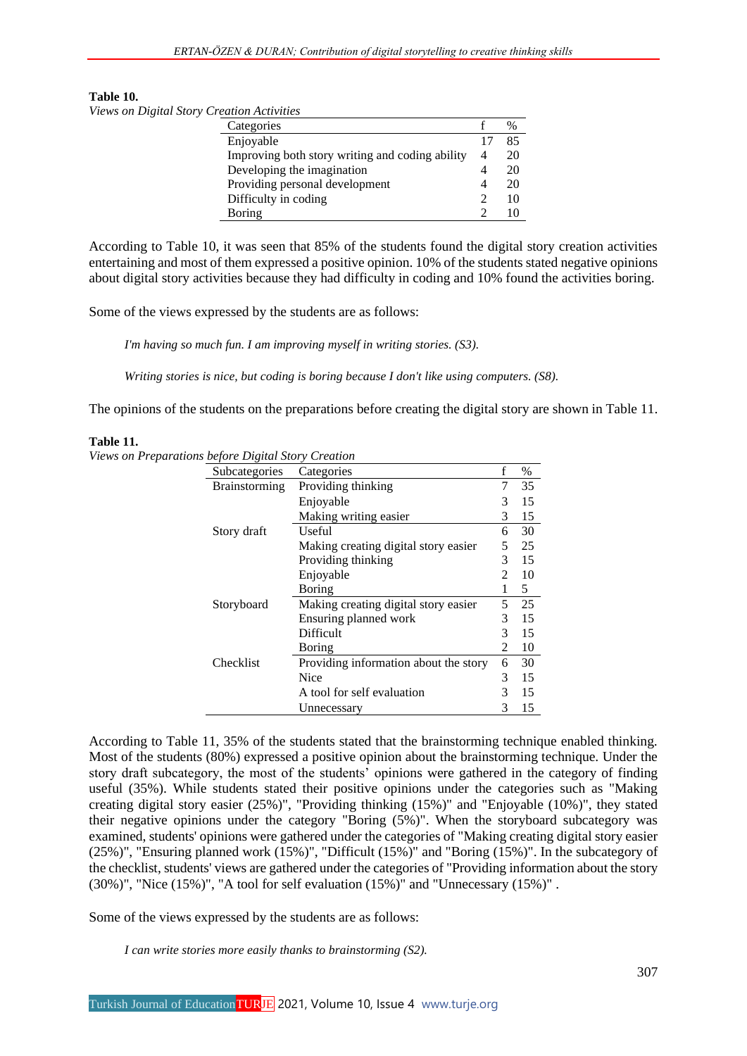#### **Table 10.**

*Views on Digital Story Creation Activities*

| Categories                                      |                             | $\%$ |
|-------------------------------------------------|-----------------------------|------|
| Enjoyable                                       | 17                          | 85   |
| Improving both story writing and coding ability | 4                           | 20   |
| Developing the imagination                      |                             | 20   |
| Providing personal development                  |                             | 20   |
| Difficulty in coding                            | $\mathcal{D}_{\mathcal{A}}$ | 10   |
| Boring                                          |                             |      |
|                                                 |                             |      |

According to Table 10, it was seen that 85% of the students found the digital story creation activities entertaining and most of them expressed a positive opinion. 10% of the students stated negative opinions about digital story activities because they had difficulty in coding and 10% found the activities boring.

Some of the views expressed by the students are as follows:

*I'm having so much fun. I am improving myself in writing stories. (S3).*

*Writing stories is nice, but coding is boring because I don't like using computers. (S8).*

The opinions of the students on the preparations before creating the digital story are shown in Table 11.

#### **Table 11.**

*Views on Preparations before Digital Story Creation*

| Subcategories        | Categories                            | f              | $\%$ |
|----------------------|---------------------------------------|----------------|------|
| <b>Brainstorming</b> | Providing thinking                    |                | 35   |
|                      | Enjoyable                             | 3              | 15   |
|                      | Making writing easier                 | 3              | 15   |
| Story draft          | Useful                                | 6              | 30   |
|                      | Making creating digital story easier  | 5              | 25   |
|                      | Providing thinking                    | 3              | 15   |
|                      | Enjoyable                             | 2              | 10   |
|                      | Boring                                |                | 5    |
| Storyboard           | Making creating digital story easier  | 5              | 25   |
|                      | Ensuring planned work                 | 3              | 15   |
|                      | Difficult                             | 3              | 15   |
|                      | Boring                                | $\mathfrak{D}$ | 10   |
| Checklist            | Providing information about the story | 6              | 30   |
|                      | Nice                                  | 3              | 15   |
|                      | A tool for self evaluation            | 3              | 15   |
|                      | Unnecessary                           | 3              | 15   |

According to Table 11, 35% of the students stated that the brainstorming technique enabled thinking. Most of the students (80%) expressed a positive opinion about the brainstorming technique. Under the story draft subcategory, the most of the students' opinions were gathered in the category of finding useful (35%). While students stated their positive opinions under the categories such as "Making creating digital story easier (25%)", "Providing thinking (15%)" and "Enjoyable (10%)", they stated their negative opinions under the category "Boring (5%)". When the storyboard subcategory was examined, students' opinions were gathered under the categories of "Making creating digital story easier (25%)", "Ensuring planned work (15%)", "Difficult (15%)" and "Boring (15%)". In the subcategory of the checklist, students' views are gathered under the categories of "Providing information about the story  $(30\%)$ ", "Nice  $(15\%)$ ", "A tool for self evaluation  $(15\%)$ " and "Unnecessary  $(15\%)$ ".

Some of the views expressed by the students are as follows:

*I can write stories more easily thanks to brainstorming (S2).*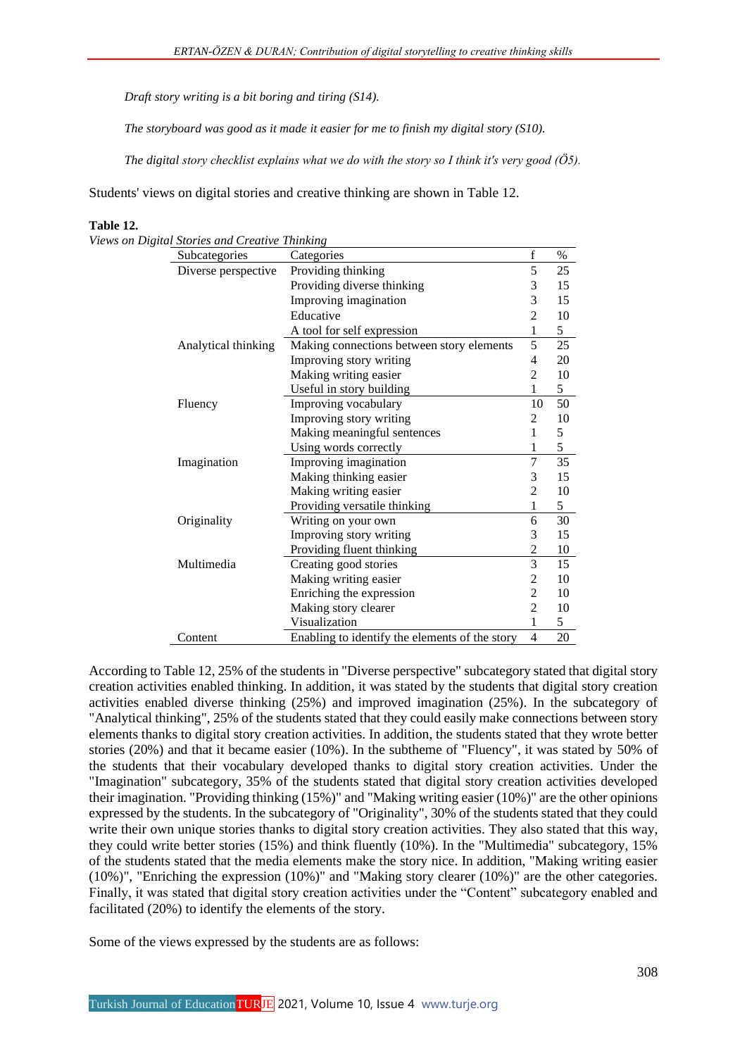*Draft story writing is a bit boring and tiring (S14).*

*The storyboard was good as it made it easier for me to finish my digital story (S10).*

*The digital story checklist explains what we do with the story so I think it's very good (Ö5).*

Students' views on digital stories and creative thinking are shown in Table 12.

| Subcategories       | Categories                                     | $\mathbf f$    | $\%$ |
|---------------------|------------------------------------------------|----------------|------|
| Diverse perspective | Providing thinking                             | 5              | 25   |
|                     | Providing diverse thinking                     | 3              | 15   |
|                     | Improving imagination                          | 3              | 15   |
|                     | Educative                                      | $\overline{2}$ | 10   |
|                     | A tool for self expression                     | $\mathbf{1}$   | 5    |
| Analytical thinking | Making connections between story elements      | 5              | 25   |
|                     | Improving story writing                        | 4              | 20   |
|                     | Making writing easier                          | 2              | 10   |
|                     | Useful in story building                       | 1              | 5    |
| Fluency             | Improving vocabulary                           | 10             | 50   |
|                     | Improving story writing                        | 2              | 10   |
|                     | Making meaningful sentences                    | 1              | 5    |
|                     | Using words correctly                          | 1              | 5    |
| Imagination         | Improving imagination                          | 7              | 35   |
|                     | Making thinking easier                         | 3              | 15   |
|                     | Making writing easier                          | $\overline{c}$ | 10   |
|                     | Providing versatile thinking                   | 1              | 5    |
| Originality         | Writing on your own                            | 6              | 30   |
|                     | Improving story writing                        | 3              | 15   |
|                     | Providing fluent thinking                      | $\overline{c}$ | 10   |
| Multimedia          | Creating good stories                          | $\overline{3}$ | 15   |
|                     | Making writing easier                          | $\overline{c}$ | 10   |
|                     | Enriching the expression                       | $\overline{2}$ | 10   |
|                     | Making story clearer                           | $\overline{2}$ | 10   |
|                     | Visualization                                  | 1              | 5    |
| Content             | Enabling to identify the elements of the story | $\overline{4}$ | 20   |

**Table 12.**

*Views on Digital Stories and Creative Thinking*

According to Table 12, 25% of the students in "Diverse perspective" subcategory stated that digital story creation activities enabled thinking. In addition, it was stated by the students that digital story creation activities enabled diverse thinking (25%) and improved imagination (25%). In the subcategory of "Analytical thinking", 25% of the students stated that they could easily make connections between story elements thanks to digital story creation activities. In addition, the students stated that they wrote better stories (20%) and that it became easier (10%). In the subtheme of "Fluency", it was stated by 50% of the students that their vocabulary developed thanks to digital story creation activities. Under the "Imagination" subcategory, 35% of the students stated that digital story creation activities developed their imagination. "Providing thinking (15%)" and "Making writing easier (10%)" are the other opinions expressed by the students. In the subcategory of "Originality", 30% of the students stated that they could write their own unique stories thanks to digital story creation activities. They also stated that this way, they could write better stories (15%) and think fluently (10%). In the "Multimedia" subcategory, 15% of the students stated that the media elements make the story nice. In addition, "Making writing easier (10%)", "Enriching the expression (10%)" and "Making story clearer (10%)" are the other categories. Finally, it was stated that digital story creation activities under the "Content" subcategory enabled and facilitated (20%) to identify the elements of the story.

Some of the views expressed by the students are as follows: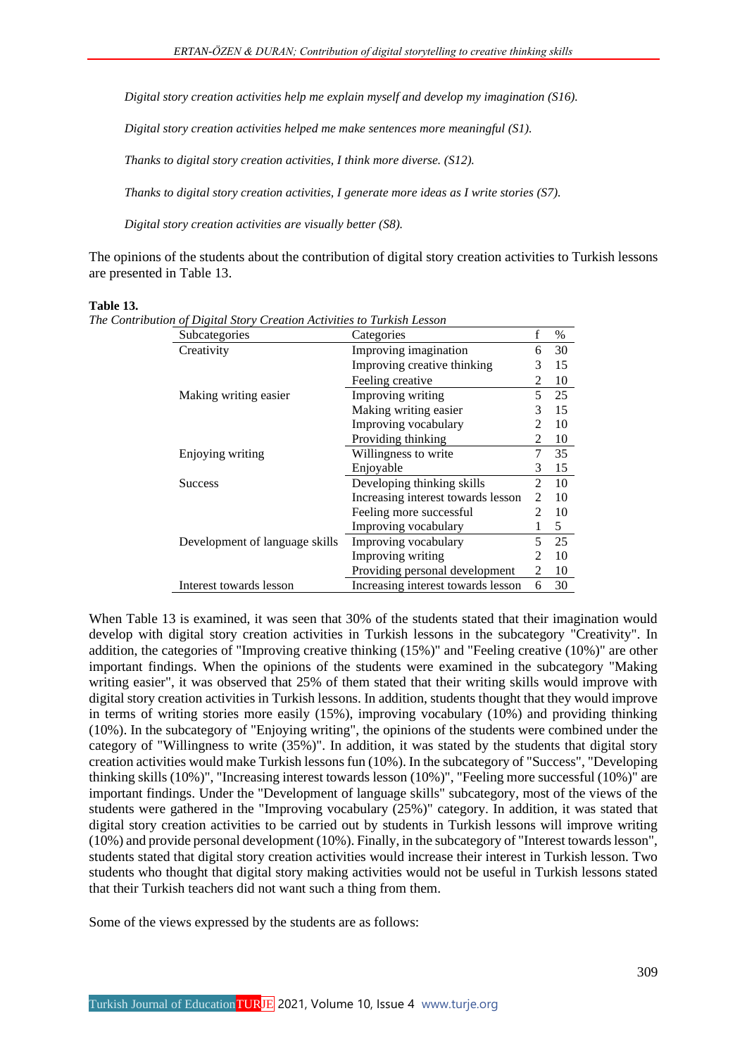*Digital story creation activities help me explain myself and develop my imagination (S16).*

*Digital story creation activities helped me make sentences more meaningful (S1).*

*Thanks to digital story creation activities, I think more diverse. (S12).*

*Thanks to digital story creation activities, I generate more ideas as I write stories (S7).*

*Digital story creation activities are visually better (S8).*

The opinions of the students about the contribution of digital story creation activities to Turkish lessons are presented in Table 13.

#### **Table 13.**

| Subcategories                  | Categories                         | f                           | $\%$ |
|--------------------------------|------------------------------------|-----------------------------|------|
| Creativity                     | Improving imagination              | 6                           | 30   |
|                                | Improving creative thinking        | 3                           | 15   |
|                                | Feeling creative                   | 2                           | 10   |
| Making writing easier          | Improving writing                  | 5                           | 25   |
|                                | Making writing easier              | 3                           | 15   |
|                                | Improving vocabulary               | 2                           | 10   |
|                                | Providing thinking                 | 2                           | 10   |
| Enjoying writing               | Willingness to write               | 7                           | 35   |
|                                | Enjoyable                          | 3                           | 15   |
| <b>Success</b>                 | Developing thinking skills         | $\mathcal{D}_{\mathcal{L}}$ | 10   |
|                                | Increasing interest towards lesson | $\mathfrak{D}$              | 10   |
|                                | Feeling more successful            |                             | 10   |
|                                | Improving vocabulary               |                             | 5    |
| Development of language skills | Improving vocabulary               | 5                           | 25   |
|                                | Improving writing                  |                             | 10   |
|                                | Providing personal development     | 2                           | 10   |
| Interest towards lesson        | Increasing interest towards lesson | 6                           | 30   |

*The Contribution of Digital Story Creation Activities to Turkish Lesson*

When Table 13 is examined, it was seen that 30% of the students stated that their imagination would develop with digital story creation activities in Turkish lessons in the subcategory "Creativity". In addition, the categories of "Improving creative thinking (15%)" and "Feeling creative (10%)" are other important findings. When the opinions of the students were examined in the subcategory "Making writing easier", it was observed that 25% of them stated that their writing skills would improve with digital story creation activities in Turkish lessons. In addition, students thought that they would improve in terms of writing stories more easily (15%), improving vocabulary (10%) and providing thinking (10%). In the subcategory of "Enjoying writing", the opinions of the students were combined under the category of "Willingness to write (35%)". In addition, it was stated by the students that digital story creation activities would make Turkish lessons fun (10%). In the subcategory of "Success", "Developing thinking skills (10%)", "Increasing interest towards lesson (10%)", "Feeling more successful (10%)" are important findings. Under the "Development of language skills" subcategory, most of the views of the students were gathered in the "Improving vocabulary (25%)" category. In addition, it was stated that digital story creation activities to be carried out by students in Turkish lessons will improve writing (10%) and provide personal development (10%). Finally, in the subcategory of "Interest towards lesson", students stated that digital story creation activities would increase their interest in Turkish lesson. Two students who thought that digital story making activities would not be useful in Turkish lessons stated that their Turkish teachers did not want such a thing from them.

Some of the views expressed by the students are as follows: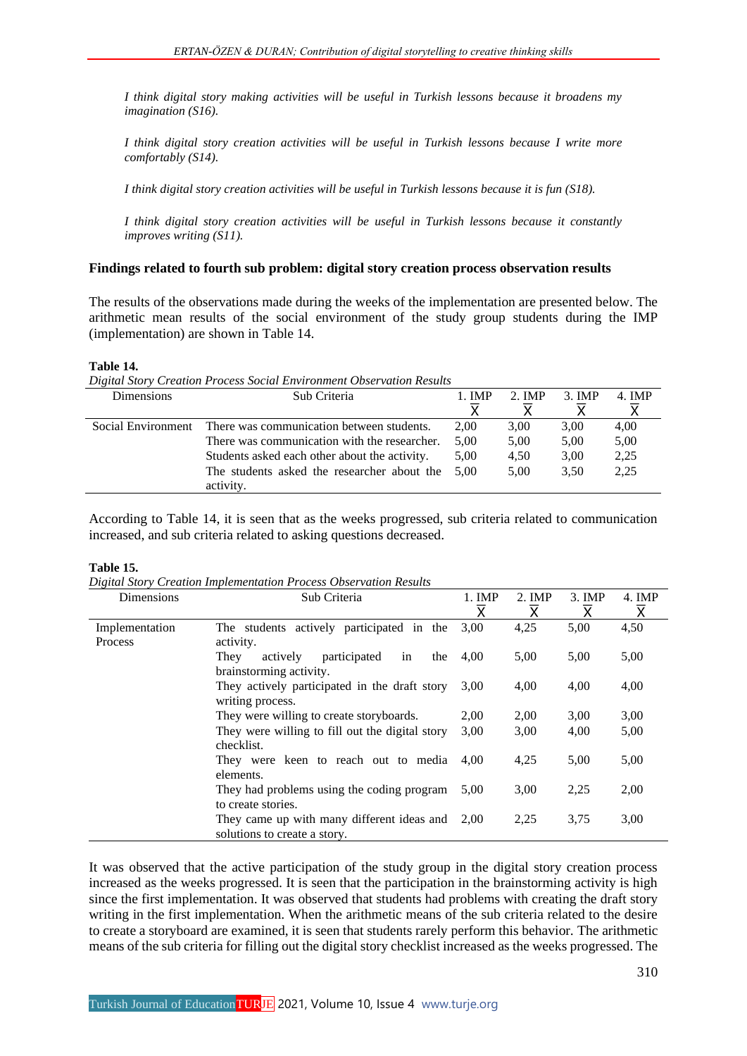*I think digital story making activities will be useful in Turkish lessons because it broadens my imagination (S16).*

*I think digital story creation activities will be useful in Turkish lessons because I write more comfortably (S14).*

*I think digital story creation activities will be useful in Turkish lessons because it is fun (S18).*

*I think digital story creation activities will be useful in Turkish lessons because it constantly improves writing (S11).*

## **Findings related to fourth sub problem: digital story creation process observation results**

The results of the observations made during the weeks of the implementation are presented below. The arithmetic mean results of the social environment of the study group students during the IMP (implementation) are shown in Table 14.

#### **Table 14.**

*Digital Story Creation Process Social Environment Observation Results*

| <b>Dimensions</b>  | Sub Criteria                                  | $1.$ IMP | 2. IMP | 3. IMP | 4. IMP |
|--------------------|-----------------------------------------------|----------|--------|--------|--------|
| Social Environment | There was communication between students.     | 2.00     | 3.00   | 3,00   | 4,00   |
|                    | There was communication with the researcher.  | 5.00     | 5,00   | 5,00   | 5,00   |
|                    | Students asked each other about the activity. | 5,00     | 4,50   | 3,00   | 2,25   |
|                    | The students asked the researcher about the   | 5.00     | 5.00   | 3.50   | 2,25   |
|                    | activity.                                     |          |        |        |        |

According to Table 14, it is seen that as the weeks progressed, sub criteria related to communication increased, and sub criteria related to asking questions decreased.

#### **Table 15.**

*Digital Story Creation Implementation Process Observation Results*

| Dimensions     | Sub Criteria                                    | $1.$ IMP                | $2.$ IMP                | $3.$ IMP                | 4. IMP                  |
|----------------|-------------------------------------------------|-------------------------|-------------------------|-------------------------|-------------------------|
|                |                                                 | $\overline{\mathsf{x}}$ | $\overline{\mathsf{x}}$ | $\overline{\mathsf{x}}$ | $\overline{\mathsf{x}}$ |
| Implementation | The students actively participated in the       | 3.00                    | 4,25                    | 5,00                    | 4,50                    |
| Process        | activity.                                       |                         |                         |                         |                         |
|                | participated<br>in<br>They<br>actively<br>the   | 4,00                    | 5,00                    | 5,00                    | 5,00                    |
|                | brainstorming activity.                         |                         |                         |                         |                         |
|                | They actively participated in the draft story   | 3,00                    | 4,00                    | 4,00                    | 4,00                    |
|                | writing process.                                |                         |                         |                         |                         |
|                | They were willing to create storyboards.        | 2,00                    | 2,00                    | 3,00                    | 3,00                    |
|                | They were willing to fill out the digital story | 3,00                    | 3,00                    | 4,00                    | 5,00                    |
|                | checklist.                                      |                         |                         |                         |                         |
|                | They were keen to reach out to media            | 4.00                    | 4,25                    | 5,00                    | 5,00                    |
|                | elements.                                       |                         |                         |                         |                         |
|                | They had problems using the coding program      | 5,00                    | 3,00                    | 2,25                    | 2,00                    |
|                | to create stories.                              |                         |                         |                         |                         |
|                | They came up with many different ideas and      | 2.00                    | 2,25                    | 3.75                    | 3,00                    |
|                | solutions to create a story.                    |                         |                         |                         |                         |

It was observed that the active participation of the study group in the digital story creation process increased as the weeks progressed. It is seen that the participation in the brainstorming activity is high since the first implementation. It was observed that students had problems with creating the draft story writing in the first implementation. When the arithmetic means of the sub criteria related to the desire to create a storyboard are examined, it is seen that students rarely perform this behavior. The arithmetic means of the sub criteria for filling out the digital story checklist increased as the weeks progressed. The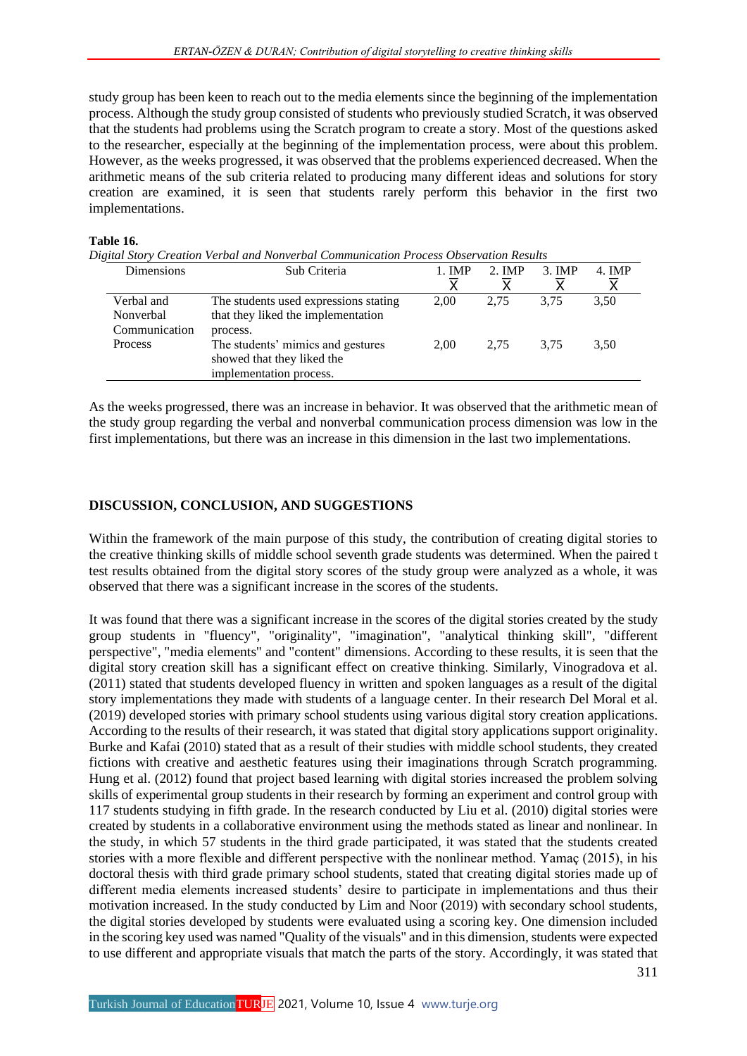study group has been keen to reach out to the media elements since the beginning of the implementation process. Although the study group consisted of students who previously studied Scratch, it was observed that the students had problems using the Scratch program to create a story. Most of the questions asked to the researcher, especially at the beginning of the implementation process, were about this problem. However, as the weeks progressed, it was observed that the problems experienced decreased. When the arithmetic means of the sub criteria related to producing many different ideas and solutions for story creation are examined, it is seen that students rarely perform this behavior in the first two implementations.

### **Table 16.**

*Digital Story Creation Verbal and Nonverbal Communication Process Observation Results*

| Dimensions                               | Sub Criteria                                                                               | 1. <b>IMP</b><br>$\overline{\sf x}$ | 2. IMP | $3.$ IMP | 4. IMP |
|------------------------------------------|--------------------------------------------------------------------------------------------|-------------------------------------|--------|----------|--------|
| Verbal and<br>Nonverbal<br>Communication | The students used expressions stating<br>that they liked the implementation<br>process.    | 2.00                                | 2.75   | 3.75     | 3,50   |
| <b>Process</b>                           | The students' mimics and gestures<br>showed that they liked the<br>implementation process. | 2.00                                | 2.75   | 3.75     | 3.50   |

As the weeks progressed, there was an increase in behavior. It was observed that the arithmetic mean of the study group regarding the verbal and nonverbal communication process dimension was low in the first implementations, but there was an increase in this dimension in the last two implementations.

## **DISCUSSION, CONCLUSION, AND SUGGESTIONS**

Within the framework of the main purpose of this study, the contribution of creating digital stories to the creative thinking skills of middle school seventh grade students was determined. When the paired t test results obtained from the digital story scores of the study group were analyzed as a whole, it was observed that there was a significant increase in the scores of the students.

It was found that there was a significant increase in the scores of the digital stories created by the study group students in "fluency", "originality", "imagination", "analytical thinking skill", "different perspective", "media elements" and "content" dimensions. According to these results, it is seen that the digital story creation skill has a significant effect on creative thinking. Similarly, Vinogradova et al. (2011) stated that students developed fluency in written and spoken languages as a result of the digital story implementations they made with students of a language center. In their research Del Moral et al. (2019) developed stories with primary school students using various digital story creation applications. According to the results of their research, it was stated that digital story applications support originality. Burke and Kafai (2010) stated that as a result of their studies with middle school students, they created fictions with creative and aesthetic features using their imaginations through Scratch programming. Hung et al. (2012) found that project based learning with digital stories increased the problem solving skills of experimental group students in their research by forming an experiment and control group with 117 students studying in fifth grade. In the research conducted by Liu et al. (2010) digital stories were created by students in a collaborative environment using the methods stated as linear and nonlinear. In the study, in which 57 students in the third grade participated, it was stated that the students created stories with a more flexible and different perspective with the nonlinear method. Yamaç (2015), in his doctoral thesis with third grade primary school students, stated that creating digital stories made up of different media elements increased students' desire to participate in implementations and thus their motivation increased. In the study conducted by Lim and Noor (2019) with secondary school students, the digital stories developed by students were evaluated using a scoring key. One dimension included in the scoring key used was named "Quality of the visuals" and in this dimension, students were expected to use different and appropriate visuals that match the parts of the story. Accordingly, it was stated that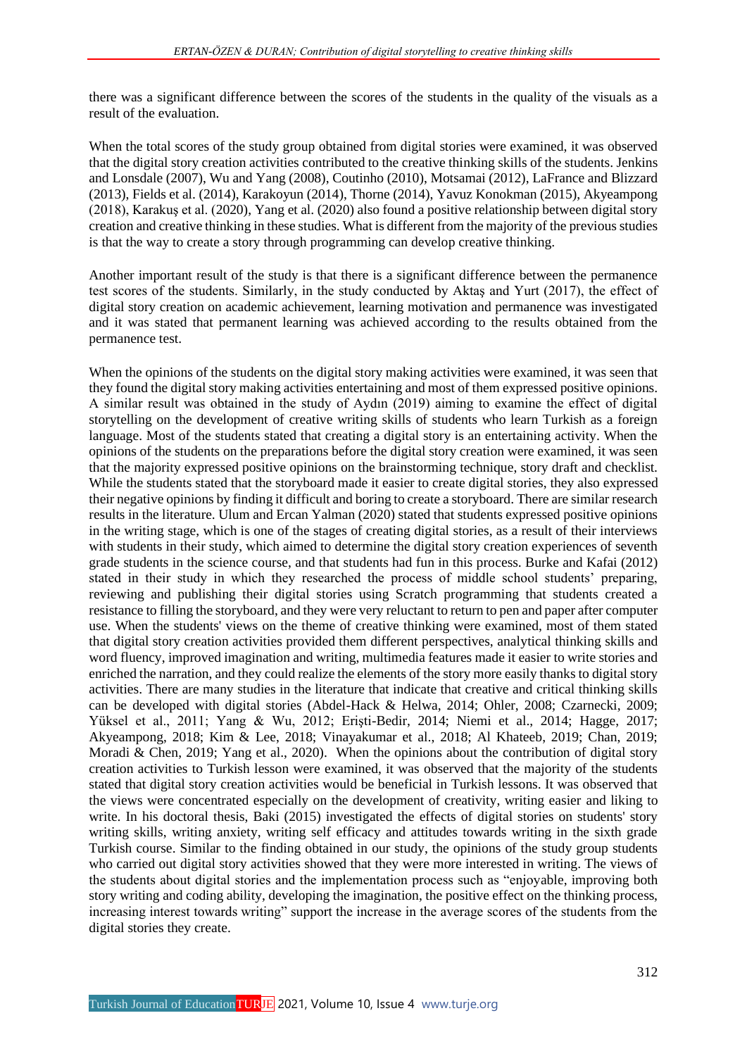there was a significant difference between the scores of the students in the quality of the visuals as a result of the evaluation.

When the total scores of the study group obtained from digital stories were examined, it was observed that the digital story creation activities contributed to the creative thinking skills of the students. Jenkins and Lonsdale (2007), Wu and Yang (2008), Coutinho (2010), Motsamai (2012), LaFrance and Blizzard (2013), Fields et al. (2014), Karakoyun (2014), Thorne (2014), Yavuz Konokman (2015), Akyeampong (2018), Karakuş et al. (2020), Yang et al. (2020) also found a positive relationship between digital story creation and creative thinking in these studies. What is different from the majority of the previous studies is that the way to create a story through programming can develop creative thinking.

Another important result of the study is that there is a significant difference between the permanence test scores of the students. Similarly, in the study conducted by Aktaş and Yurt (2017), the effect of digital story creation on academic achievement, learning motivation and permanence was investigated and it was stated that permanent learning was achieved according to the results obtained from the permanence test.

When the opinions of the students on the digital story making activities were examined, it was seen that they found the digital story making activities entertaining and most of them expressed positive opinions. A similar result was obtained in the study of Aydın (2019) aiming to examine the effect of digital storytelling on the development of creative writing skills of students who learn Turkish as a foreign language. Most of the students stated that creating a digital story is an entertaining activity. When the opinions of the students on the preparations before the digital story creation were examined, it was seen that the majority expressed positive opinions on the brainstorming technique, story draft and checklist. While the students stated that the storyboard made it easier to create digital stories, they also expressed their negative opinions by finding it difficult and boring to create a storyboard. There are similar research results in the literature. Ulum and Ercan Yalman (2020) stated that students expressed positive opinions in the writing stage, which is one of the stages of creating digital stories, as a result of their interviews with students in their study, which aimed to determine the digital story creation experiences of seventh grade students in the science course, and that students had fun in this process. Burke and Kafai (2012) stated in their study in which they researched the process of middle school students' preparing, reviewing and publishing their digital stories using Scratch programming that students created a resistance to filling the storyboard, and they were very reluctant to return to pen and paper after computer use. When the students' views on the theme of creative thinking were examined, most of them stated that digital story creation activities provided them different perspectives, analytical thinking skills and word fluency, improved imagination and writing, multimedia features made it easier to write stories and enriched the narration, and they could realize the elements of the story more easily thanks to digital story activities. There are many studies in the literature that indicate that creative and critical thinking skills can be developed with digital stories (Abdel-Hack & Helwa, 2014; Ohler, 2008; Czarnecki, 2009; Yüksel et al., 2011; Yang & Wu, 2012; Erişti-Bedir, 2014; Niemi et al., 2014; Hagge, 2017; Akyeampong, 2018; Kim & Lee, 2018; Vinayakumar et al., 2018; Al Khateeb, 2019; Chan, 2019; Moradi & Chen, 2019; Yang et al., 2020). When the opinions about the contribution of digital story creation activities to Turkish lesson were examined, it was observed that the majority of the students stated that digital story creation activities would be beneficial in Turkish lessons. It was observed that the views were concentrated especially on the development of creativity, writing easier and liking to write. In his doctoral thesis, Baki (2015) investigated the effects of digital stories on students' story writing skills, writing anxiety, writing self efficacy and attitudes towards writing in the sixth grade Turkish course. Similar to the finding obtained in our study, the opinions of the study group students who carried out digital story activities showed that they were more interested in writing. The views of the students about digital stories and the implementation process such as "enjoyable, improving both story writing and coding ability, developing the imagination, the positive effect on the thinking process, increasing interest towards writing" support the increase in the average scores of the students from the digital stories they create.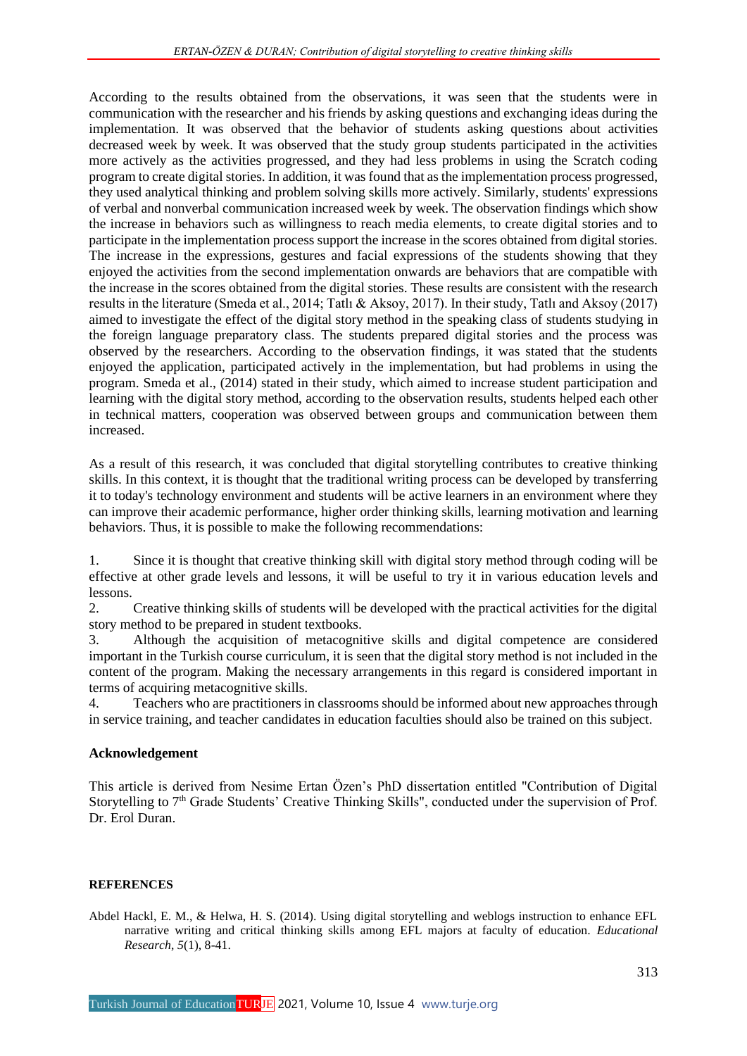According to the results obtained from the observations, it was seen that the students were in communication with the researcher and his friends by asking questions and exchanging ideas during the implementation. It was observed that the behavior of students asking questions about activities decreased week by week. It was observed that the study group students participated in the activities more actively as the activities progressed, and they had less problems in using the Scratch coding program to create digital stories. In addition, it was found that as the implementation process progressed, they used analytical thinking and problem solving skills more actively. Similarly, students' expressions of verbal and nonverbal communication increased week by week. The observation findings which show the increase in behaviors such as willingness to reach media elements, to create digital stories and to participate in the implementation process support the increase in the scores obtained from digital stories. The increase in the expressions, gestures and facial expressions of the students showing that they enjoyed the activities from the second implementation onwards are behaviors that are compatible with the increase in the scores obtained from the digital stories. These results are consistent with the research results in the literature (Smeda et al., 2014; Tatlı & Aksoy, 2017). In their study, Tatlı and Aksoy (2017) aimed to investigate the effect of the digital story method in the speaking class of students studying in the foreign language preparatory class. The students prepared digital stories and the process was observed by the researchers. According to the observation findings, it was stated that the students enjoyed the application, participated actively in the implementation, but had problems in using the program. Smeda et al., (2014) stated in their study, which aimed to increase student participation and learning with the digital story method, according to the observation results, students helped each other in technical matters, cooperation was observed between groups and communication between them increased.

As a result of this research, it was concluded that digital storytelling contributes to creative thinking skills. In this context, it is thought that the traditional writing process can be developed by transferring it to today's technology environment and students will be active learners in an environment where they can improve their academic performance, higher order thinking skills, learning motivation and learning behaviors. Thus, it is possible to make the following recommendations:

1. Since it is thought that creative thinking skill with digital story method through coding will be effective at other grade levels and lessons, it will be useful to try it in various education levels and lessons.

2. Creative thinking skills of students will be developed with the practical activities for the digital story method to be prepared in student textbooks.

3. Although the acquisition of metacognitive skills and digital competence are considered important in the Turkish course curriculum, it is seen that the digital story method is not included in the content of the program. Making the necessary arrangements in this regard is considered important in terms of acquiring metacognitive skills.

4. Teachers who are practitioners in classrooms should be informed about new approaches through in service training, and teacher candidates in education faculties should also be trained on this subject.

## **Acknowledgement**

This article is derived from Nesime Ertan Özen's PhD dissertation entitled "Contribution of Digital Storytelling to 7<sup>th</sup> Grade Students' Creative Thinking Skills", conducted under the supervision of Prof. Dr. Erol Duran.

## **REFERENCES**

Abdel Hackl, E. M., & Helwa, H. S. (2014). Using digital storytelling and weblogs instruction to enhance EFL narrative writing and critical thinking skills among EFL majors at faculty of education. *Educational Research*, *5*(1), 8-41.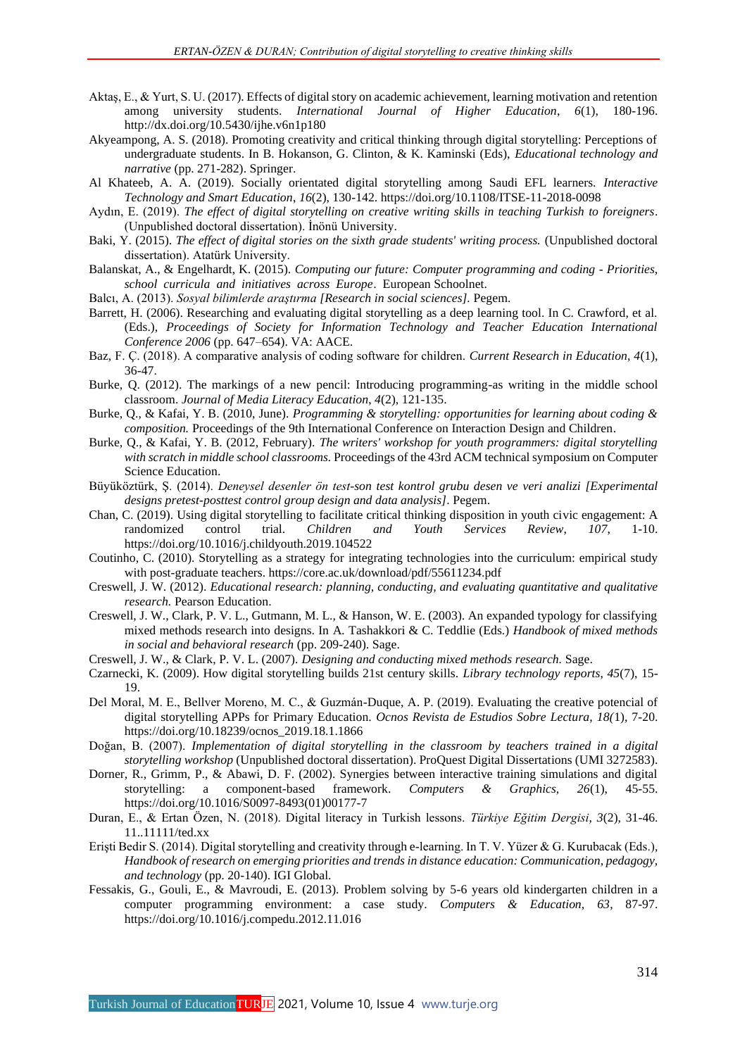- Aktaş, E., & Yurt, S. U. (2017). Effects of digital story on academic achievement, learning motivation and retention among university students. *International Journal of Higher Education*, *6*(1), 180-196. <http://dx.doi.org/10.5430/ijhe.v6n1p180>
- Akyeampong, A. S. (2018). Promoting creativity and critical thinking through digital storytelling: Perceptions of undergraduate students. In B. Hokanson, G. Clinton, & K. Kaminski (Eds), *Educational technology and narrative* (pp. 271-282). Springer.
- Al Khateeb, A. A. (2019). Socially orientated digital storytelling among Saudi EFL learners. *Interactive Technology and Smart Education*, *16*(2), 130-142[. https://doi.org/10.1108/ITSE-11-2018-0098](https://doi.org/10.1108/ITSE-11-2018-0098)
- Aydın, E. (2019). *The effect of digital storytelling on creative writing skills in teaching Turkish to foreigners*. (Unpublished doctoral dissertation). İnönü University.
- Baki, Y. (2015). *The effect of digital stories on the sixth grade students' writing process.* (Unpublished doctoral dissertation). Atatürk University.
- Balanskat, A., & Engelhardt, K. (2015). *Computing our future: Computer programming and coding - Priorities, school curricula and initiatives across Europe*. European Schoolnet.
- Balcı, A. (2013). *Sosyal bilimlerde araştırma [Research in social sciences].* Pegem.
- Barrett, H. (2006). Researching and evaluating digital storytelling as a deep learning tool. In C. Crawford, et al. (Eds.), *Proceedings of Society for Information Technology and Teacher Education International Conference 2006* (pp. 647–654). VA: AACE.
- Baz, F. Ç. (2018). A comparative analysis of coding software for children. *Current Research in Education, 4*(1), 36-47.
- Burke, Q. (2012). The markings of a new pencil: Introducing programming-as writing in the middle school classroom. *Journal of Media Literacy Education*, *4*(2), 121-135.
- Burke, Q., & Kafai, Y. B. (2010, June). *Programming & storytelling: opportunities for learning about coding & composition.* Proceedings of the 9th International Conference on Interaction Design and Children.
- Burke, Q., & Kafai, Y. B. (2012, February). *The writers' workshop for youth programmers: digital storytelling with scratch in middle school classrooms.* Proceedings of the 43rd ACM technical symposium on Computer Science Education.
- Büyüköztürk, Ş. (2014). *Deneysel desenler ön test-son test kontrol grubu desen ve veri analizi [Experimental designs pretest-posttest control group design and data analysis]*. Pegem.
- Chan, C. (2019). Using digital storytelling to facilitate critical thinking disposition in youth civic engagement: A randomized control trial. Children and Youth Services Review, 107, 1-10. randomized control trial. *Children and Youth Services Review*, *107*, 1-10. <https://doi.org/10.1016/j.childyouth.2019.104522>
- Coutinho, C. (2010). Storytelling as a strategy for integrating technologies into the curriculum: empirical study with post-graduate teachers. https://core.ac.uk/download/pdf/55611234.pdf
- Creswell, J. W. (2012). *Educational research: planning, conducting, and evaluating quantitative and qualitative research.* Pearson Education.
- Creswell, J. W., Clark, P. V. L., Gutmann, M. L., & Hanson, W. E. (2003). An expanded typology for classifying mixed methods research into designs. In A*.* Tashakkori & C. Teddlie (Eds.) *Handbook of mixed methods in social and behavioral research* (pp. 209-240). Sage.
- Creswell, J. W., & Clark, P. V. L. (2007). *Designing and conducting mixed methods research.* Sage.
- Czarnecki, K. (2009). How digital storytelling builds 21st century skills. *Library technology reports*, *45*(7), 15- 19.
- Del Moral, M. E., Bellver Moreno, M. C., & Guzmán-Duque, A. P. (2019). Evaluating the creative potencial of digital storytelling APPs for Primary Education. *Ocnos Revista de Estudios Sobre Lectura, 18(*1), 7-20. [https://doi.org/10.18239/ocnos\\_2019.18.1.1866](https://doi.org/10.18239/ocnos_2019.18.1.1866)
- Doğan, B. (2007). *Implementation of digital storytelling in the classroom by teachers trained in a digital storytelling workshop* (Unpublished doctoral dissertation). ProQuest Digital Dissertations (UMI 3272583).
- Dorner, R., Grimm, P., & Abawi, D. F. (2002). Synergies between interactive training simulations and digital storytelling: a component-based framework. *Computers & Graphics, 26*(1), 45-55. [https://doi.org/10.1016/S0097-8493\(01\)00177-7](https://doi.org/10.1016/S0097-8493(01)00177-7)
- Duran, E., & Ertan Özen, N. (2018). Digital literacy in Turkish lessons. *Türkiye Eğitim Dergisi*, *3*(2), 31-46. 11..11111/ted.xx
- Erişti Bedir S. (2014). Digital storytelling and creativity through e-learning. In T. V. Yüzer & G. Kurubacak (Eds.)*, Handbook of research on emerging priorities and trends in distance education: Communication, pedagogy, and technology* (pp. 20-140). IGI Global.
- Fessakis, G., Gouli, E., & Mavroudi, E. (2013). Problem solving by 5-6 years old kindergarten children in a computer programming environment: a case study. *Computers & Education, 63*, 87-97. <https://doi.org/10.1016/j.compedu.2012.11.016>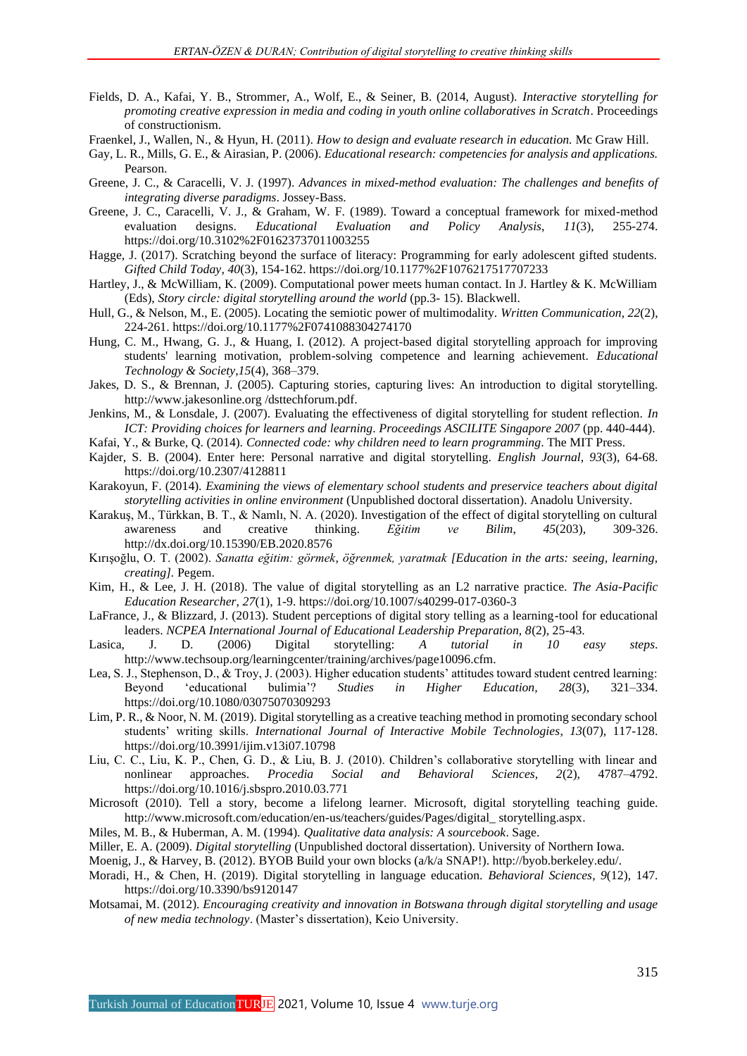- Fields, D. A., Kafai, Y. B., Strommer, A., Wolf, E., & Seiner, B. (2014, August). *Interactive storytelling for promoting creative expression in media and coding in youth online collaboratives in Scratch*. Proceedings of constructionism.
- Fraenkel, J., Wallen, N., & Hyun, H. (2011). *How to design and evaluate research in education.* Mc Graw Hill.
- Gay, L. R., Mills, G. E., & Airasian, P. (2006). *Educational research: competencies for analysis and applications.*  Pearson.
- Greene, J. C., & Caracelli, V. J. (1997). *Advances in mixed-method evaluation: The challenges and benefits of integrating diverse paradigms*. Jossey-Bass.
- Greene, J. C., Caracelli, V. J., & Graham, W. F. (1989). Toward a conceptual framework for mixed-method evaluation designs. *Educational Evaluation and Policy Analysis*, 11(3), 255-274. evaluation designs. *Educational Evaluation and Policy Analysis*, *11*(3), 255-274. <https://doi.org/10.3102%2F01623737011003255>
- Hagge, J. (2017). Scratching beyond the surface of literacy: Programming for early adolescent gifted students. *Gifted Child Today*, *40*(3), 154-162[. https://doi.org/10.1177%2F1076217517707233](https://doi.org/10.1177%2F1076217517707233)
- Hartley, J., & McWilliam, K. (2009). Computational power meets human contact. In J. Hartley & K. McWilliam (Eds), *Story circle: digital storytelling around the world* (pp.3- 15). Blackwell.
- Hull, G., & Nelson, M., E. (2005). Locating the semiotic power of multimodality. *Written Communication*, *22*(2), 224-261[. https://doi.org/10.1177%2F0741088304274170](https://doi.org/10.1177%2F0741088304274170)
- Hung, C. M., Hwang, G. J., & Huang, I. (2012). A project-based digital storytelling approach for improving students' learning motivation, problem-solving competence and learning achievement. *Educational Technology & Society*,*15*(4), 368–379.
- Jakes, D. S., & Brennan, J. (2005). Capturing stories, capturing lives: An introduction to digital storytelling. http://www.jakesonline.org /dsttechforum.pdf.
- Jenkins, M., & Lonsdale, J. (2007). Evaluating the effectiveness of digital storytelling for student reflection. *In ICT: Providing choices for learners and learning*. *Proceedings ASCILITE Singapore 2007* (pp. 440-444).
- Kafai, Y., & Burke, Q. (2014). *Connected code: why children need to learn programming*. The MIT Press.
- Kajder, S. B. (2004). Enter here: Personal narrative and digital storytelling. *English Journal, 93*(3), 64-68. <https://doi.org/10.2307/4128811>
- Karakoyun, F. (2014). *Examining the views of elementary school students and preservice teachers about digital storytelling activities in online environment* (Unpublished doctoral dissertation). Anadolu University.
- Karakuş, M., Türkkan, B. T., & Namlı, N. A. (2020). Investigation of the effect of digital storytelling on cultural awareness and creative thinking. *Eğitim ve Bilim*, *45*(203), 309-326. <http://dx.doi.org/10.15390/EB.2020.8576>
- Kırışoğlu, O. T. (2002). *Sanatta eğitim: görmek, öğrenmek, yaratmak [Education in the arts: seeing, learning, creating].* Pegem.
- Kim, H., & Lee, J. H. (2018). The value of digital storytelling as an L2 narrative practice. *The Asia-Pacific Education Researcher*, *27*(1), 1-9[. https://doi.org/10.1007/s40299-017-0360-3](https://doi.org/10.1007/s40299-017-0360-3)
- LaFrance, J., & Blizzard, J. (2013). Student perceptions of digital story telling as a learning-tool for educational leaders. *NCPEA International Journal of Educational Leadership Preparation, 8*(2), 25-43.
- Lasica, J. D. (2006) Digital storytelling: *A tutorial in 10 easy steps*. http://www.techsoup.org/learningcenter/training/archives/page10096.cfm.
- Lea, S. J., Stephenson, D., & Troy, J. (2003). Higher education students' attitudes toward student centred learning: Beyond 'educational bulimia'? *Studies in Higher Education, 28*(3), 321–334. <https://doi.org/10.1080/03075070309293>
- Lim, P. R., & Noor, N. M. (2019). Digital storytelling as a creative teaching method in promoting secondary school students' writing skills. *International Journal of Interactive Mobile Technologies*, *13*(07), 117-128. <https://doi.org/10.3991/ijim.v13i07.10798>
- Liu, C. C., Liu, K. P., Chen, G. D., & Liu, B. J. (2010). Children's collaborative storytelling with linear and nonlinear approaches. *Procedia Social and Behavioral Sciences, 2*(2), 4787–4792. <https://doi.org/10.1016/j.sbspro.2010.03.771>
- Microsoft (2010). Tell a story, become a lifelong learner. Microsoft, digital storytelling teaching guide. [http://www.microsoft.com/education/en-us/teachers/guides/Pages/digital\\_ storytelling.aspx.](http://www.microsoft.com/education/en-us/teachers/guides/Pages/digital_%20storytelling.aspx)
- Miles, M. B., & Huberman, A. M. (1994). *Qualitative data analysis: A sourcebook*. Sage.
- Miller, E. A. (2009). *Digital storytelling* (Unpublished doctoral dissertation). University of Northern Iowa.

Moenig, J., & Harvey, B. (2012). BYOB Build your own blocks (a/k/a SNAP!). http://byob.berkeley.edu/.

- Moradi, H., & Chen, H. (2019). Digital storytelling in language education. *Behavioral Sciences*, *9*(12), 147. <https://doi.org/10.3390/bs9120147>
- Motsamai, M. (2012). *Encouraging creativity and innovation in Botswana through digital storytelling and usage of new media technology*. (Master's dissertation), Keio University.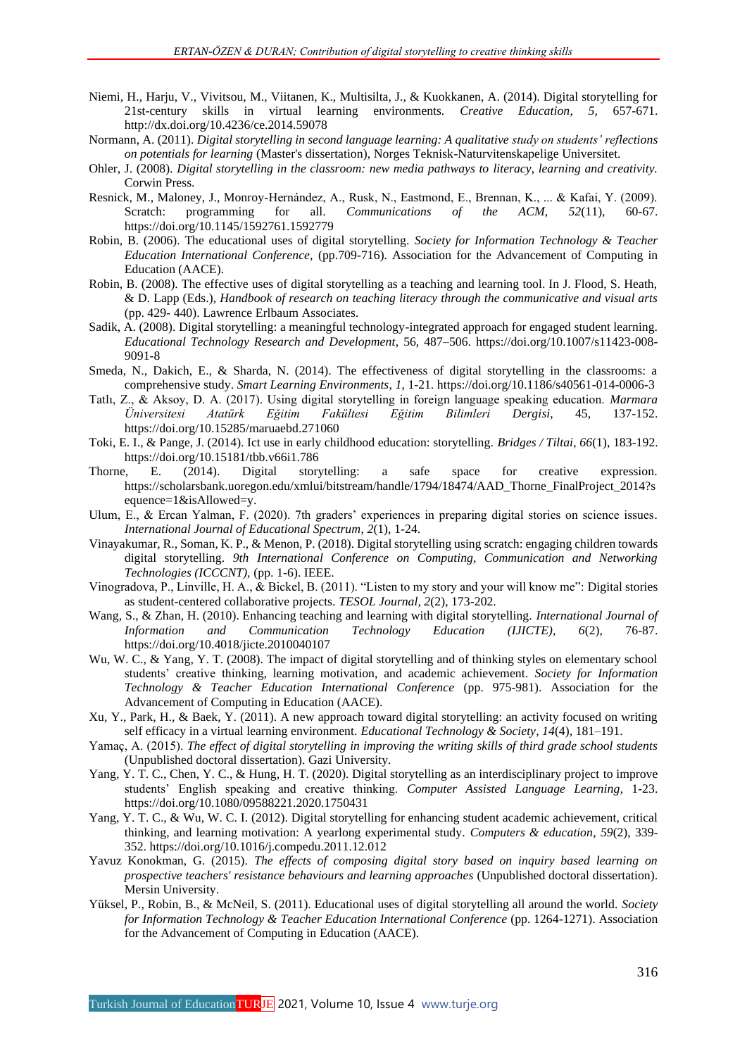- Niemi, H., Harju, V., Vivitsou, M., Viitanen, K., Multisilta, J., & Kuokkanen, A. (2014). Digital storytelling for 21st-century skills in virtual learning environments. *Creative Education*, *5*, 657-671. <http://dx.doi.org/10.4236/ce.2014.59078>
- Normann, A. (2011). *Digital storytelling in second language learning: A qualitative study on students' reflections on potentials for learning* (Master's dissertation), Norges Teknisk-Naturvitenskapelige Universitet.
- Ohler, J. (2008). *Digital storytelling in the classroom: new media pathways to literacy, learning and creativity.*  Corwin Press.
- Resnick, M., Maloney, J., Monroy-Hernández, A., Rusk, N., Eastmond, E., Brennan, K., ... & Kafai, Y. (2009). Scratch: programming for all. *Communications of the ACM*, *52*(11), 60-67. <https://doi.org/10.1145/1592761.1592779>
- Robin, B. (2006). The educational uses of digital storytelling. *Society for Information Technology & Teacher Education International Conference,* (pp.709-716). Association for the Advancement of Computing in Education (AACE).
- Robin, B. (2008). The effective uses of digital storytelling as a teaching and learning tool. In J. Flood, S. Heath, & D. Lapp (Eds.), *Handbook of research on teaching literacy through the communicative and visual arts* (pp. 429- 440). Lawrence Erlbaum Associates.
- Sadik, A. (2008). Digital storytelling: a meaningful technology-integrated approach for engaged student learning. *Educational Technology Research and Development*, 56, 487–506. [https://doi.org/10.1007/s11423-008-](https://doi.org/10.1007/s11423-008-9091-8) [9091-8](https://doi.org/10.1007/s11423-008-9091-8)
- Smeda, N., Dakich, E., & Sharda, N. (2014). The effectiveness of digital storytelling in the classrooms: a comprehensive study. *Smart Learning Environments*, *1*, 1-21.<https://doi.org/10.1186/s40561-014-0006-3>
- Tatlı, Z., & Aksoy, D. A. (2017). Using digital storytelling in foreign language speaking education. *Marmara Üniversitesi Atatürk Eğitim Fakültesi Eğitim Bilimleri Dergisi*, 45, 137-152. <https://doi.org/10.15285/maruaebd.271060>
- Toki, E. I., & Pange, J. (2014). Ict use in early childhood education: storytelling. *Bridges / Tiltai*, *66*(1), 183-192. <https://doi.org/10.15181/tbb.v66i1.786>
- Thorne, E. (2014). Digital storytelling: a safe space for creative expression. https://scholarsbank.uoregon.edu/xmlui/bitstream/handle/1794/18474/AAD\_Thorne\_FinalProject\_2014?s equence=1&isAllowed=y.
- Ulum, E., & Ercan Yalman, F. (2020). 7th graders' experiences in preparing digital stories on science issues*. International Journal of Educational Spectrum*, *2*(1), 1-24.
- Vinayakumar, R., Soman, K. P., & Menon, P. (2018). Digital storytelling using scratch: engaging children towards digital storytelling. *9th International Conference on Computing, Communication and Networking Technologies (ICCCNT),* (pp. 1-6). IEEE.
- Vinogradova, P., Linville, H. A., & Bickel, B. (2011). "Listen to my story and your will know me": Digital stories as student-centered collaborative projects. *TESOL Journal, 2*(2), 173-202.
- Wang, S., & Zhan, H. (2010). Enhancing teaching and learning with digital storytelling. *International Journal of Information and Communication Technology Education (IJICTE), 6*(2), 76-87. <https://doi.org/10.4018/jicte.2010040107>
- Wu, W. C., & Yang, Y. T. (2008). The impact of digital storytelling and of thinking styles on elementary school students' creative thinking, learning motivation, and academic achievement. *Society for Information Technology & Teacher Education International Conference* (pp. 975-981). Association for the Advancement of Computing in Education (AACE).
- Xu, Y., Park, H., & Baek, Y. (2011). A new approach toward digital storytelling: an activity focused on writing self efficacy in a virtual learning environment. *Educational Technology & Society*, *14*(4), 181–191.
- Yamaç, A. (2015). *The effect of digital storytelling in improving the writing skills of third grade school students*  (Unpublished doctoral dissertation). Gazi University.
- Yang, Y. T. C., Chen, Y. C., & Hung, H. T. (2020). Digital storytelling as an interdisciplinary project to improve students' English speaking and creative thinking. *Computer Assisted Language Learning*, 1-23. <https://doi.org/10.1080/09588221.2020.1750431>
- Yang, Y. T. C., & Wu, W. C. I. (2012). Digital storytelling for enhancing student academic achievement, critical thinking, and learning motivation: A yearlong experimental study. *Computers & education*, *59*(2), 339- 352.<https://doi.org/10.1016/j.compedu.2011.12.012>
- Yavuz Konokman, G. (2015). *The effects of composing digital story based on inquiry based learning on prospective teachers' resistance behaviours and learning approaches* (Unpublished doctoral dissertation). Mersin University.
- Yüksel, P., Robin, B., & McNeil, S. (2011). Educational uses of digital storytelling all around the world. *Society for Information Technology & Teacher Education International Conference* (pp. 1264-1271). Association for the Advancement of Computing in Education (AACE).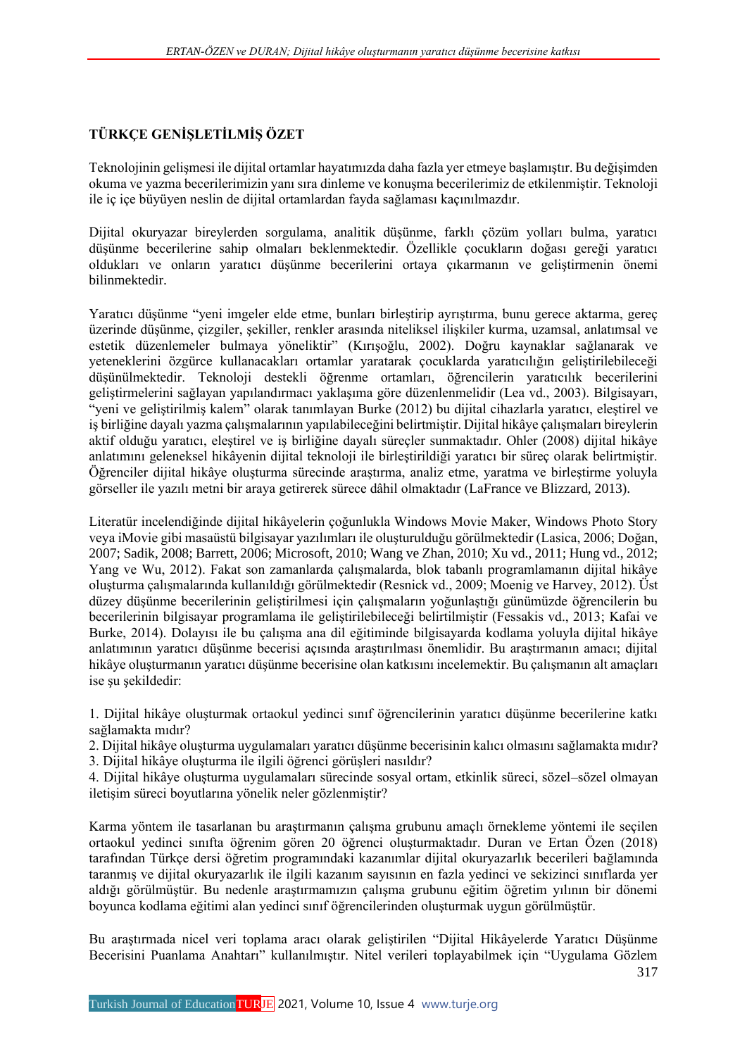## **TÜRKÇE GENİŞLETİLMİŞ ÖZET**

Teknolojinin gelişmesi ile dijital ortamlar hayatımızda daha fazla yer etmeye başlamıştır. Bu değişimden okuma ve yazma becerilerimizin yanı sıra dinleme ve konuşma becerilerimiz de etkilenmiştir. Teknoloji ile iç içe büyüyen neslin de dijital ortamlardan fayda sağlaması kaçınılmazdır.

Dijital okuryazar bireylerden sorgulama, analitik düşünme, farklı çözüm yolları bulma, yaratıcı düşünme becerilerine sahip olmaları beklenmektedir. Özellikle çocukların doğası gereği yaratıcı oldukları ve onların yaratıcı düşünme becerilerini ortaya çıkarmanın ve geliştirmenin önemi bilinmektedir.

Yaratıcı düşünme "yeni imgeler elde etme, bunları birleştirip ayrıştırma, bunu gerece aktarma, gereç üzerinde düşünme, çizgiler, şekiller, renkler arasında niteliksel ilişkiler kurma, uzamsal, anlatımsal ve estetik düzenlemeler bulmaya yöneliktir" (Kırışoğlu, 2002). Doğru kaynaklar sağlanarak ve yeteneklerini özgürce kullanacakları ortamlar yaratarak çocuklarda yaratıcılığın geliştirilebileceği düşünülmektedir. Teknoloji destekli öğrenme ortamları, öğrencilerin yaratıcılık becerilerini geliştirmelerini sağlayan yapılandırmacı yaklaşıma göre düzenlenmelidir (Lea vd., 2003). Bilgisayarı, "yeni ve geliştirilmiş kalem" olarak tanımlayan Burke (2012) bu dijital cihazlarla yaratıcı, eleştirel ve iş birliğine dayalı yazma çalışmalarının yapılabileceğini belirtmiştir. Dijital hikâye çalışmaları bireylerin aktif olduğu yaratıcı, eleştirel ve iş birliğine dayalı süreçler sunmaktadır. Ohler (2008) dijital hikâye anlatımını geleneksel hikâyenin dijital teknoloji ile birleştirildiği yaratıcı bir süreç olarak belirtmiştir. Öğrenciler dijital hikâye oluşturma sürecinde araştırma, analiz etme, yaratma ve birleştirme yoluyla görseller ile yazılı metni bir araya getirerek sürece dâhil olmaktadır (LaFrance ve Blizzard, 2013).

Literatür incelendiğinde dijital hikâyelerin çoğunlukla Windows Movie Maker, Windows Photo Story veya iMovie gibi masaüstü bilgisayar yazılımları ile oluşturulduğu görülmektedir (Lasica, 2006; Doğan, 2007; Sadik, 2008; Barrett, 2006; Microsoft, 2010; Wang ve Zhan, 2010; Xu vd., 2011; Hung vd., 2012; Yang ve Wu, 2012). Fakat son zamanlarda çalışmalarda, blok tabanlı programlamanın dijital hikâye oluşturma çalışmalarında kullanıldığı görülmektedir (Resnick vd., 2009; Moenig ve Harvey, 2012). Üst düzey düşünme becerilerinin geliştirilmesi için çalışmaların yoğunlaştığı günümüzde öğrencilerin bu becerilerinin bilgisayar programlama ile geliştirilebileceği belirtilmiştir (Fessakis vd., 2013; Kafai ve Burke, 2014). Dolayısı ile bu çalışma ana dil eğitiminde bilgisayarda kodlama yoluyla dijital hikâye anlatımının yaratıcı düşünme becerisi açısında araştırılması önemlidir. Bu araştırmanın amacı; dijital hikâye oluşturmanın yaratıcı düşünme becerisine olan katkısını incelemektir. Bu çalışmanın alt amaçları ise şu şekildedir:

1. Dijital hikâye oluşturmak ortaokul yedinci sınıf öğrencilerinin yaratıcı düşünme becerilerine katkı sağlamakta mıdır?

2. Dijital hikâye oluşturma uygulamaları yaratıcı düşünme becerisinin kalıcı olmasını sağlamakta mıdır? 3. Dijital hikâye oluşturma ile ilgili öğrenci görüşleri nasıldır?

4. Dijital hikâye oluşturma uygulamaları sürecinde sosyal ortam, etkinlik süreci, sözel–sözel olmayan iletişim süreci boyutlarına yönelik neler gözlenmiştir?

Karma yöntem ile tasarlanan bu araştırmanın çalışma grubunu amaçlı örnekleme yöntemi ile seçilen ortaokul yedinci sınıfta öğrenim gören 20 öğrenci oluşturmaktadır. Duran ve Ertan Özen (2018) tarafından Türkçe dersi öğretim programındaki kazanımlar dijital okuryazarlık becerileri bağlamında taranmış ve dijital okuryazarlık ile ilgili kazanım sayısının en fazla yedinci ve sekizinci sınıflarda yer aldığı görülmüştür. Bu nedenle araştırmamızın çalışma grubunu eğitim öğretim yılının bir dönemi boyunca kodlama eğitimi alan yedinci sınıf öğrencilerinden oluşturmak uygun görülmüştür.

Bu araştırmada nicel veri toplama aracı olarak geliştirilen "Dijital Hikâyelerde Yaratıcı Düşünme Becerisini Puanlama Anahtarı" kullanılmıştır. Nitel verileri toplayabilmek için "Uygulama Gözlem